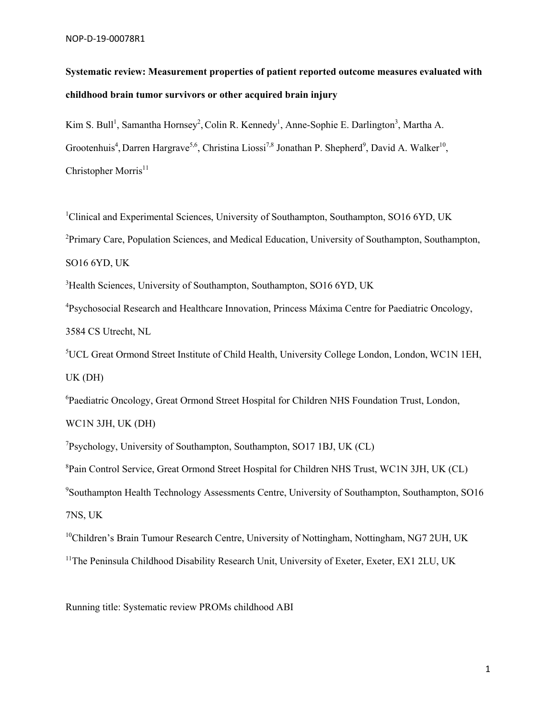# **Systematic review: Measurement properties of patient reported outcome measures evaluated with childhood brain tumor survivors or other acquired brain injury**

Kim S. Bull<sup>1</sup>, Samantha Hornsey<sup>2</sup>, Colin R. Kennedy<sup>1</sup>, Anne-Sophie E. Darlington<sup>3</sup>, Martha A. Grootenhuis<sup>4</sup>, Darren Hargrave<sup>5,6</sup>, Christina Liossi<sup>7,8</sup> Jonathan P. Shepherd<sup>9</sup>, David A. Walker<sup>10</sup>, Christopher Morris $11$ 

<sup>1</sup>Clinical and Experimental Sciences, University of Southampton, Southampton, SO16 6YD, UK <sup>2</sup>Primary Care, Population Sciences, and Medical Education, University of Southampton, Southampton, SO16 6YD, UK

<sup>3</sup>Health Sciences, University of Southampton, Southampton, SO16 6YD, UK

<sup>4</sup>Psychosocial Research and Healthcare Innovation, Princess Máxima Centre for Paediatric Oncology, 3584 CS Utrecht, NL

5 UCL Great Ormond Street Institute of Child Health, University College London, London, WC1N 1EH, UK (DH)

<sup>6</sup>Paediatric Oncology, Great Ormond Street Hospital for Children NHS Foundation Trust, London, WC1N 3JH, UK (DH)

7 Psychology, University of Southampton, Southampton, SO17 1BJ, UK (CL)

<sup>8</sup>Pain Control Service, Great Ormond Street Hospital for Children NHS Trust, WC1N 3JH, UK (CL)

<sup>9</sup>Southampton Health Technology Assessments Centre, University of Southampton, Southampton, SO16 7NS, UK

<sup>10</sup>Children's Brain Tumour Research Centre, University of Nottingham, Nottingham, NG7 2UH, UK

<sup>11</sup>The Peninsula Childhood Disability Research Unit, University of Exeter, Exeter, EX1 2LU, UK

Running title: Systematic review PROMs childhood ABI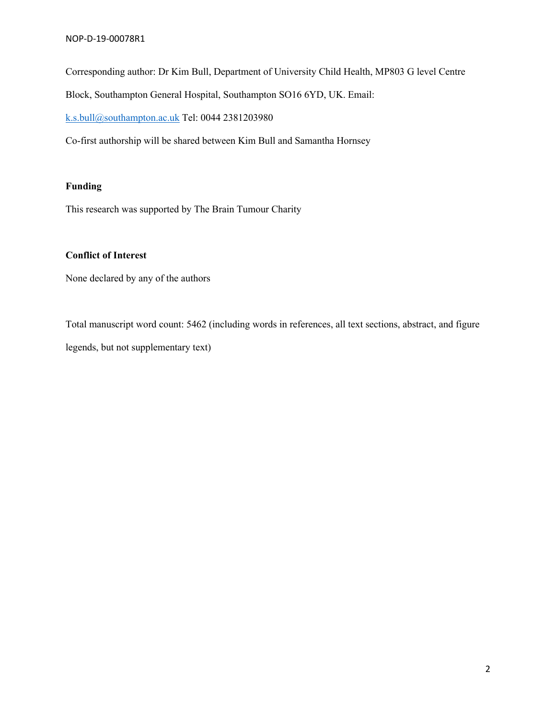Corresponding author: Dr Kim Bull, Department of University Child Health, MP803 G level Centre

Block, Southampton General Hospital, Southampton SO16 6YD, UK. Email:

k.s.bull@southampton.ac.uk Tel: 0044 2381203980

Co-first authorship will be shared between Kim Bull and Samantha Hornsey

### **Funding**

This research was supported by The Brain Tumour Charity

### **Conflict of Interest**

None declared by any of the authors

Total manuscript word count: 5462 (including words in references, all text sections, abstract, and figure legends, but not supplementary text)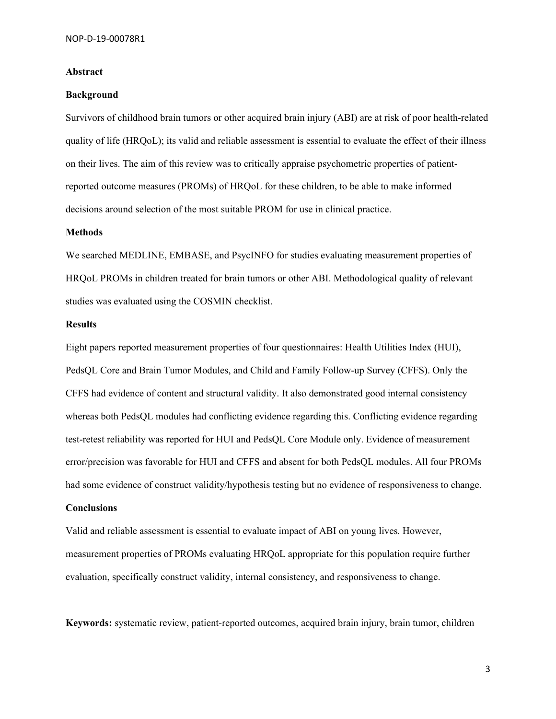#### **Abstract**

#### **Background**

Survivors of childhood brain tumors or other acquired brain injury (ABI) are at risk of poor health-related quality of life (HRQoL); its valid and reliable assessment is essential to evaluate the effect of their illness on their lives. The aim of this review was to critically appraise psychometric properties of patientreported outcome measures (PROMs) of HRQoL for these children, to be able to make informed decisions around selection of the most suitable PROM for use in clinical practice.

#### **Methods**

We searched MEDLINE, EMBASE, and PsycINFO for studies evaluating measurement properties of HRQoL PROMs in children treated for brain tumors or other ABI. Methodological quality of relevant studies was evaluated using the COSMIN checklist.

#### **Results**

Eight papers reported measurement properties of four questionnaires: Health Utilities Index (HUI), PedsQL Core and Brain Tumor Modules, and Child and Family Follow-up Survey (CFFS). Only the CFFS had evidence of content and structural validity. It also demonstrated good internal consistency whereas both PedsQL modules had conflicting evidence regarding this. Conflicting evidence regarding test-retest reliability was reported for HUI and PedsQL Core Module only. Evidence of measurement error/precision was favorable for HUI and CFFS and absent for both PedsQL modules. All four PROMs had some evidence of construct validity/hypothesis testing but no evidence of responsiveness to change.

#### **Conclusions**

Valid and reliable assessment is essential to evaluate impact of ABI on young lives. However, measurement properties of PROMs evaluating HRQoL appropriate for this population require further evaluation, specifically construct validity, internal consistency, and responsiveness to change.

**Keywords:** systematic review, patient-reported outcomes, acquired brain injury, brain tumor, children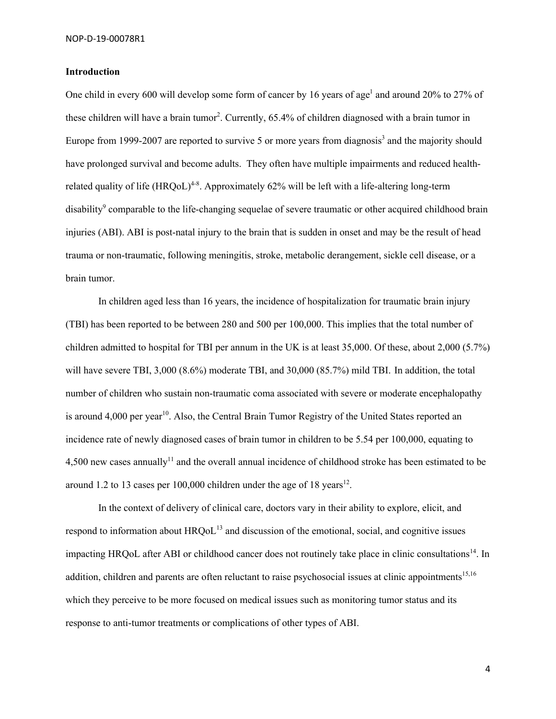#### **Introduction**

One child in every 600 will develop some form of cancer by 16 years of age<sup>1</sup> and around 20% to 27% of these children will have a brain tumor<sup>2</sup>. Currently, 65.4% of children diagnosed with a brain tumor in Europe from 1999-2007 are reported to survive 5 or more years from diagnosis<sup>3</sup> and the majority should have prolonged survival and become adults. They often have multiple impairments and reduced healthrelated quality of life (HRQoL)<sup>4-8</sup>. Approximately 62% will be left with a life-altering long-term disability<sup>9</sup> comparable to the life-changing sequelae of severe traumatic or other acquired childhood brain injuries (ABI). ABI is post-natal injury to the brain that is sudden in onset and may be the result of head trauma or non-traumatic, following meningitis, stroke, metabolic derangement, sickle cell disease, or a brain tumor.

In children aged less than 16 years, the incidence of hospitalization for traumatic brain injury (TBI) has been reported to be between 280 and 500 per 100,000. This implies that the total number of children admitted to hospital for TBI per annum in the UK is at least 35,000. Of these, about 2,000 (5.7%) will have severe TBI, 3,000 (8.6%) moderate TBI, and 30,000 (85.7%) mild TBI. In addition, the total number of children who sustain non-traumatic coma associated with severe or moderate encephalopathy is around  $4,000$  per year<sup>10</sup>. Also, the Central Brain Tumor Registry of the United States reported an incidence rate of newly diagnosed cases of brain tumor in children to be 5.54 per 100,000, equating to 4,500 new cases annually<sup>11</sup> and the overall annual incidence of childhood stroke has been estimated to be around 1.2 to 13 cases per 100,000 children under the age of 18 years<sup>12</sup>.

In the context of delivery of clinical care, doctors vary in their ability to explore, elicit, and respond to information about  $HRQoL<sup>13</sup>$  and discussion of the emotional, social, and cognitive issues impacting HRQoL after ABI or childhood cancer does not routinely take place in clinic consultations<sup>14</sup>. In addition, children and parents are often reluctant to raise psychosocial issues at clinic appointments<sup>15,16</sup> which they perceive to be more focused on medical issues such as monitoring tumor status and its response to anti-tumor treatments or complications of other types of ABI.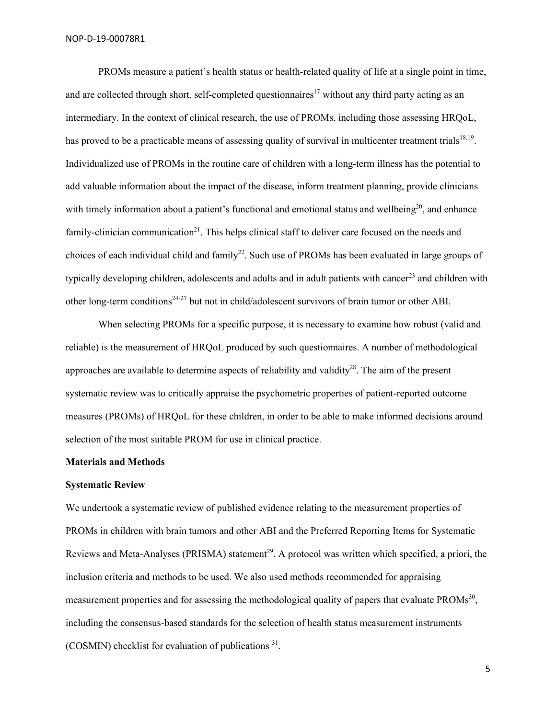PROMs measure a patient's health status or health-related quality of life at a single point in time, and are collected through short, self-completed questionnaires<sup>17</sup> without any third party acting as an intermediary. In the context of clinical research, the use of PROMs, including those assessing HRQoL, has proved to be a practicable means of assessing quality of survival in multicenter treatment trials<sup>18,19</sup>. Individualized use of PROMs in the routine care of children with a long-term illness has the potential to add valuable information about the impact of the disease, inform treatment planning, provide clinicians with timely information about a patient's functional and emotional status and wellbeing $2<sup>0</sup>$ , and enhance family-clinician communication<sup>21</sup>. This helps clinical staff to deliver care focused on the needs and choices of each individual child and family<sup>22</sup>. Such use of PROMs has been evaluated in large groups of typically developing children, adolescents and adults and in adult patients with cancer<sup>23</sup> and children with other long-term conditions<sup>24-27</sup> but not in child/adolescent survivors of brain tumor or other ABI.

When selecting PROMs for a specific purpose, it is necessary to examine how robust (valid and reliable) is the measurement of HRQoL produced by such questionnaires. A number of methodological approaches are available to determine aspects of reliability and validity<sup>28</sup>. The aim of the present systematic review was to critically appraise the psychometric properties of patient-reported outcome measures (PROMs) of HRQoL for these children, in order to be able to make informed decisions around selection of the most suitable PROM for use in clinical practice.

#### **Materials and Methods**

#### **Systematic Review**

We undertook a systematic review of published evidence relating to the measurement properties of PROMs in children with brain tumors and other ABI and the Preferred Reporting Items for Systematic Reviews and Meta-Analyses (PRISMA) statement<sup>29</sup>. A protocol was written which specified, a priori, the inclusion criteria and methods to be used. We also used methods recommended for appraising measurement properties and for assessing the methodological quality of papers that evaluate PROMs<sup>30</sup>, including the consensus-based standards for the selection of health status measurement instruments (COSMIN) checklist for evaluation of publications  $31$ .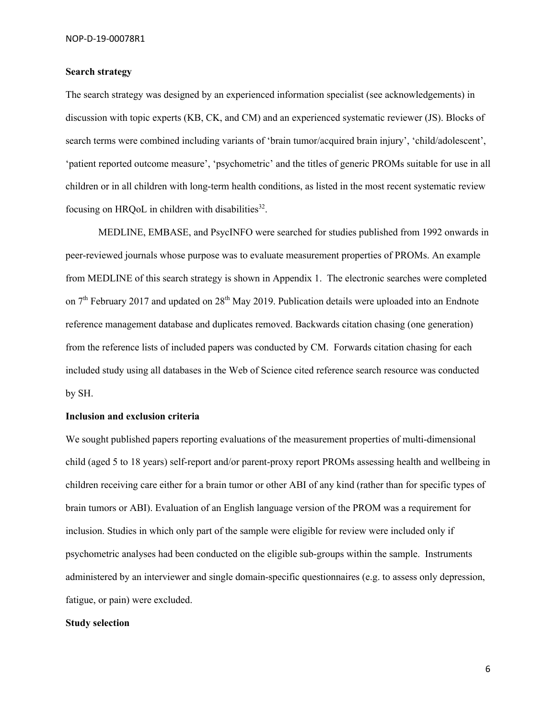#### **Search strategy**

The search strategy was designed by an experienced information specialist (see acknowledgements) in discussion with topic experts (KB, CK, and CM) and an experienced systematic reviewer (JS). Blocks of search terms were combined including variants of 'brain tumor/acquired brain injury', 'child/adolescent', 'patient reported outcome measure', 'psychometric' and the titles of generic PROMs suitable for use in all children or in all children with long-term health conditions, as listed in the most recent systematic review focusing on HRQoL in children with disabilities $32$ .

MEDLINE, EMBASE, and PsycINFO were searched for studies published from 1992 onwards in peer-reviewed journals whose purpose was to evaluate measurement properties of PROMs. An example from MEDLINE of this search strategy is shown in Appendix 1. The electronic searches were completed on 7<sup>th</sup> February 2017 and updated on 28<sup>th</sup> May 2019. Publication details were uploaded into an Endnote reference management database and duplicates removed. Backwards citation chasing (one generation) from the reference lists of included papers was conducted by CM. Forwards citation chasing for each included study using all databases in the Web of Science cited reference search resource was conducted by SH.

#### **Inclusion and exclusion criteria**

We sought published papers reporting evaluations of the measurement properties of multi-dimensional child (aged 5 to 18 years) self-report and/or parent-proxy report PROMs assessing health and wellbeing in children receiving care either for a brain tumor or other ABI of any kind (rather than for specific types of brain tumors or ABI). Evaluation of an English language version of the PROM was a requirement for inclusion. Studies in which only part of the sample were eligible for review were included only if psychometric analyses had been conducted on the eligible sub-groups within the sample. Instruments administered by an interviewer and single domain-specific questionnaires (e.g. to assess only depression, fatigue, or pain) were excluded.

#### **Study selection**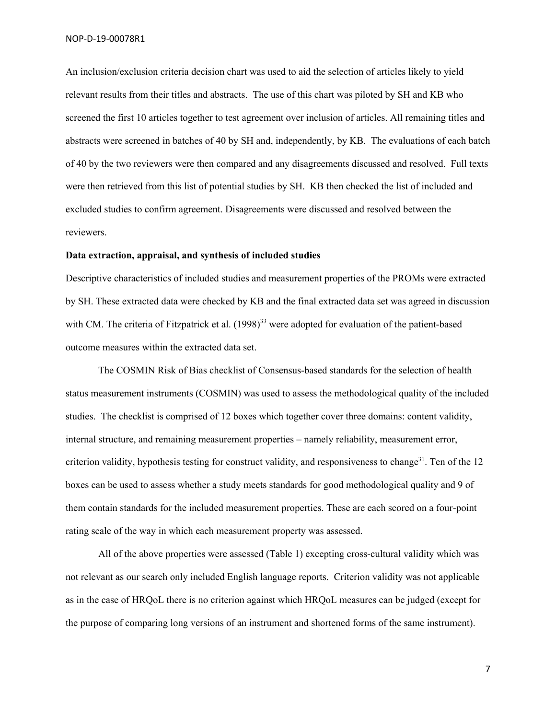An inclusion/exclusion criteria decision chart was used to aid the selection of articles likely to yield relevant results from their titles and abstracts. The use of this chart was piloted by SH and KB who screened the first 10 articles together to test agreement over inclusion of articles. All remaining titles and abstracts were screened in batches of 40 by SH and, independently, by KB. The evaluations of each batch of 40 by the two reviewers were then compared and any disagreements discussed and resolved. Full texts were then retrieved from this list of potential studies by SH. KB then checked the list of included and excluded studies to confirm agreement. Disagreements were discussed and resolved between the reviewers.

#### **Data extraction, appraisal, and synthesis of included studies**

Descriptive characteristics of included studies and measurement properties of the PROMs were extracted by SH. These extracted data were checked by KB and the final extracted data set was agreed in discussion with CM. The criteria of Fitzpatrick et al. (1998)<sup>33</sup> were adopted for evaluation of the patient-based outcome measures within the extracted data set.

The COSMIN Risk of Bias checklist of Consensus-based standards for the selection of health status measurement instruments (COSMIN) was used to assess the methodological quality of the included studies. The checklist is comprised of 12 boxes which together cover three domains: content validity, internal structure, and remaining measurement properties – namely reliability, measurement error, criterion validity, hypothesis testing for construct validity, and responsiveness to change<sup>31</sup>. Ten of the 12 boxes can be used to assess whether a study meets standards for good methodological quality and 9 of them contain standards for the included measurement properties. These are each scored on a four-point rating scale of the way in which each measurement property was assessed.

All of the above properties were assessed (Table 1) excepting cross-cultural validity which was not relevant as our search only included English language reports. Criterion validity was not applicable as in the case of HRQoL there is no criterion against which HRQoL measures can be judged (except for the purpose of comparing long versions of an instrument and shortened forms of the same instrument).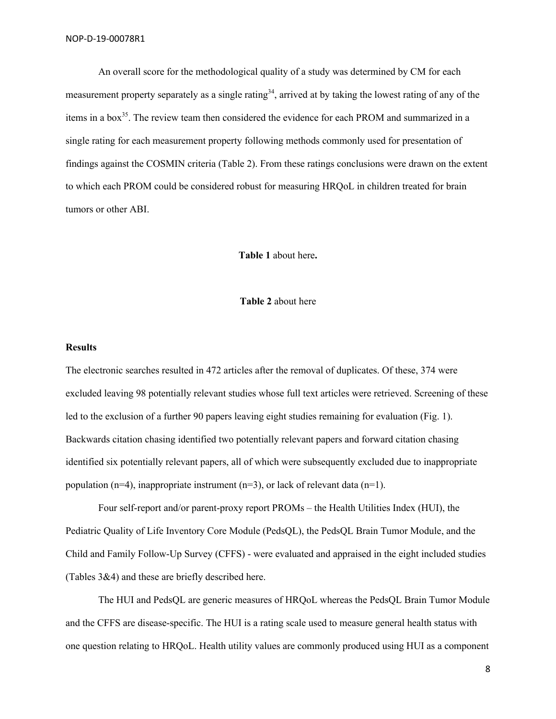An overall score for the methodological quality of a study was determined by CM for each measurement property separately as a single rating<sup>34</sup>, arrived at by taking the lowest rating of any of the items in a box<sup>35</sup>. The review team then considered the evidence for each PROM and summarized in a single rating for each measurement property following methods commonly used for presentation of findings against the COSMIN criteria (Table 2). From these ratings conclusions were drawn on the extent to which each PROM could be considered robust for measuring HRQoL in children treated for brain tumors or other ABI.

**Table 1** about here**.** 

#### **Table 2** about here

#### **Results**

The electronic searches resulted in 472 articles after the removal of duplicates. Of these, 374 were excluded leaving 98 potentially relevant studies whose full text articles were retrieved. Screening of these led to the exclusion of a further 90 papers leaving eight studies remaining for evaluation (Fig. 1). Backwards citation chasing identified two potentially relevant papers and forward citation chasing identified six potentially relevant papers, all of which were subsequently excluded due to inappropriate population (n=4), inappropriate instrument (n=3), or lack of relevant data (n=1).

Four self-report and/or parent-proxy report PROMs – the Health Utilities Index (HUI), the Pediatric Quality of Life Inventory Core Module (PedsQL), the PedsQL Brain Tumor Module, and the Child and Family Follow-Up Survey (CFFS) - were evaluated and appraised in the eight included studies (Tables 3&4) and these are briefly described here.

The HUI and PedsQL are generic measures of HRQoL whereas the PedsQL Brain Tumor Module and the CFFS are disease-specific. The HUI is a rating scale used to measure general health status with one question relating to HRQoL. Health utility values are commonly produced using HUI as a component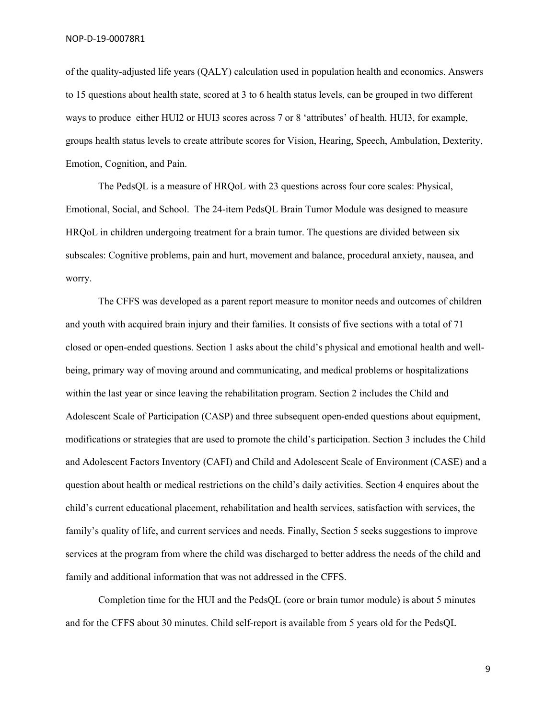of the quality-adjusted life years (QALY) calculation used in population health and economics. Answers to 15 questions about health state, scored at 3 to 6 health status levels, can be grouped in two different ways to produce either HUI2 or HUI3 scores across 7 or 8 'attributes' of health. HUI3, for example, groups health status levels to create attribute scores for Vision, Hearing, Speech, Ambulation, Dexterity, Emotion, Cognition, and Pain.

The PedsQL is a measure of HRQoL with 23 questions across four core scales: Physical, Emotional, Social, and School. The 24-item PedsQL Brain Tumor Module was designed to measure HRQoL in children undergoing treatment for a brain tumor. The questions are divided between six subscales: Cognitive problems, pain and hurt, movement and balance, procedural anxiety, nausea, and worry.

The CFFS was developed as a parent report measure to monitor needs and outcomes of children and youth with acquired brain injury and their families. It consists of five sections with a total of 71 closed or open-ended questions. Section 1 asks about the child's physical and emotional health and wellbeing, primary way of moving around and communicating, and medical problems or hospitalizations within the last year or since leaving the rehabilitation program. Section 2 includes the Child and Adolescent Scale of Participation (CASP) and three subsequent open-ended questions about equipment, modifications or strategies that are used to promote the child's participation. Section 3 includes the Child and Adolescent Factors Inventory (CAFI) and Child and Adolescent Scale of Environment (CASE) and a question about health or medical restrictions on the child's daily activities. Section 4 enquires about the child's current educational placement, rehabilitation and health services, satisfaction with services, the family's quality of life, and current services and needs. Finally, Section 5 seeks suggestions to improve services at the program from where the child was discharged to better address the needs of the child and family and additional information that was not addressed in the CFFS.

Completion time for the HUI and the PedsQL (core or brain tumor module) is about 5 minutes and for the CFFS about 30 minutes. Child self-report is available from 5 years old for the PedsQL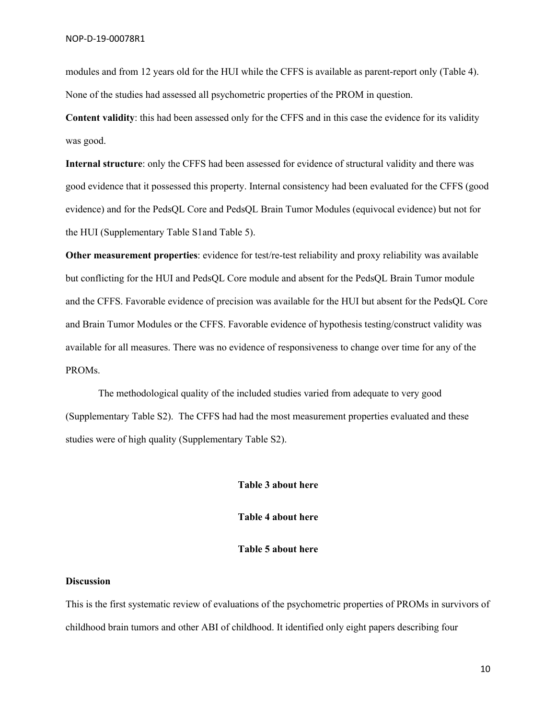modules and from 12 years old for the HUI while the CFFS is available as parent-report only (Table 4). None of the studies had assessed all psychometric properties of the PROM in question.

**Content validity**: this had been assessed only for the CFFS and in this case the evidence for its validity was good.

**Internal structure**: only the CFFS had been assessed for evidence of structural validity and there was good evidence that it possessed this property. Internal consistency had been evaluated for the CFFS (good evidence) and for the PedsQL Core and PedsQL Brain Tumor Modules (equivocal evidence) but not for the HUI (Supplementary Table S1and Table 5).

**Other measurement properties**: evidence for test/re-test reliability and proxy reliability was available but conflicting for the HUI and PedsQL Core module and absent for the PedsQL Brain Tumor module and the CFFS. Favorable evidence of precision was available for the HUI but absent for the PedsQL Core and Brain Tumor Modules or the CFFS. Favorable evidence of hypothesis testing/construct validity was available for all measures. There was no evidence of responsiveness to change over time for any of the PROMs.

The methodological quality of the included studies varied from adequate to very good (Supplementary Table S2). The CFFS had had the most measurement properties evaluated and these studies were of high quality (Supplementary Table S2).

### **Table 3 about here**

**Table 4 about here**

#### **Table 5 about here**

#### **Discussion**

This is the first systematic review of evaluations of the psychometric properties of PROMs in survivors of childhood brain tumors and other ABI of childhood. It identified only eight papers describing four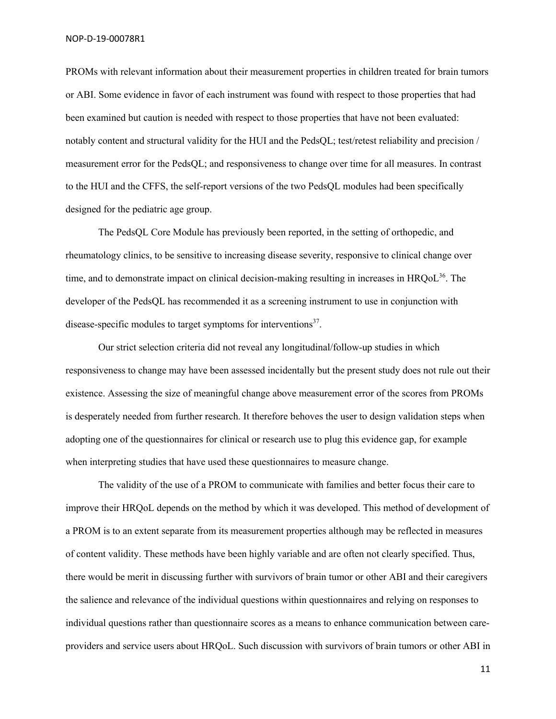PROMs with relevant information about their measurement properties in children treated for brain tumors or ABI. Some evidence in favor of each instrument was found with respect to those properties that had been examined but caution is needed with respect to those properties that have not been evaluated: notably content and structural validity for the HUI and the PedsQL; test/retest reliability and precision / measurement error for the PedsQL; and responsiveness to change over time for all measures. In contrast to the HUI and the CFFS, the self-report versions of the two PedsQL modules had been specifically designed for the pediatric age group.

The PedsQL Core Module has previously been reported, in the setting of orthopedic, and rheumatology clinics, to be sensitive to increasing disease severity, responsive to clinical change over time, and to demonstrate impact on clinical decision-making resulting in increases in  $HROoL<sup>36</sup>$ . The developer of the PedsQL has recommended it as a screening instrument to use in conjunction with disease-specific modules to target symptoms for interventions<sup>37</sup>.

Our strict selection criteria did not reveal any longitudinal/follow-up studies in which responsiveness to change may have been assessed incidentally but the present study does not rule out their existence. Assessing the size of meaningful change above measurement error of the scores from PROMs is desperately needed from further research. It therefore behoves the user to design validation steps when adopting one of the questionnaires for clinical or research use to plug this evidence gap, for example when interpreting studies that have used these questionnaires to measure change.

The validity of the use of a PROM to communicate with families and better focus their care to improve their HRQoL depends on the method by which it was developed. This method of development of a PROM is to an extent separate from its measurement properties although may be reflected in measures of content validity. These methods have been highly variable and are often not clearly specified. Thus, there would be merit in discussing further with survivors of brain tumor or other ABI and their caregivers the salience and relevance of the individual questions within questionnaires and relying on responses to individual questions rather than questionnaire scores as a means to enhance communication between careproviders and service users about HRQoL. Such discussion with survivors of brain tumors or other ABI in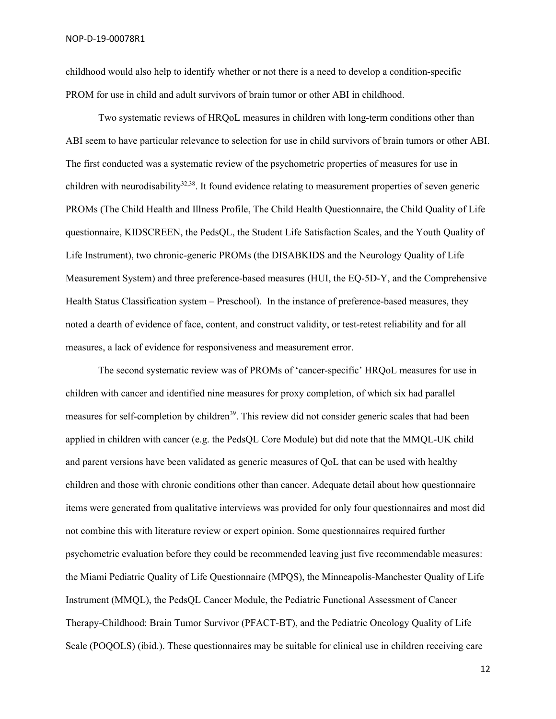NOP-D-19-00078R1

childhood would also help to identify whether or not there is a need to develop a condition-specific PROM for use in child and adult survivors of brain tumor or other ABI in childhood.

Two systematic reviews of HRQoL measures in children with long-term conditions other than ABI seem to have particular relevance to selection for use in child survivors of brain tumors or other ABI. The first conducted was a systematic review of the psychometric properties of measures for use in children with neurodisability<sup>32,38</sup>. It found evidence relating to measurement properties of seven generic PROMs (The Child Health and Illness Profile, The Child Health Questionnaire, the Child Quality of Life questionnaire, KIDSCREEN, the PedsQL, the Student Life Satisfaction Scales, and the Youth Quality of Life Instrument), two chronic-generic PROMs (the DISABKIDS and the Neurology Quality of Life Measurement System) and three preference-based measures (HUI, the EQ-5D-Y, and the Comprehensive Health Status Classification system – Preschool). In the instance of preference-based measures, they noted a dearth of evidence of face, content, and construct validity, or test-retest reliability and for all measures, a lack of evidence for responsiveness and measurement error.

The second systematic review was of PROMs of 'cancer-specific' HRQoL measures for use in children with cancer and identified nine measures for proxy completion, of which six had parallel measures for self-completion by children<sup>39</sup>. This review did not consider generic scales that had been applied in children with cancer (e.g. the PedsQL Core Module) but did note that the MMQL-UK child and parent versions have been validated as generic measures of QoL that can be used with healthy children and those with chronic conditions other than cancer. Adequate detail about how questionnaire items were generated from qualitative interviews was provided for only four questionnaires and most did not combine this with literature review or expert opinion. Some questionnaires required further psychometric evaluation before they could be recommended leaving just five recommendable measures: the Miami Pediatric Quality of Life Questionnaire (MPQS), the Minneapolis-Manchester Quality of Life Instrument (MMQL), the PedsQL Cancer Module, the Pediatric Functional Assessment of Cancer Therapy-Childhood: Brain Tumor Survivor (PFACT-BT), and the Pediatric Oncology Quality of Life Scale (POQOLS) (ibid.). These questionnaires may be suitable for clinical use in children receiving care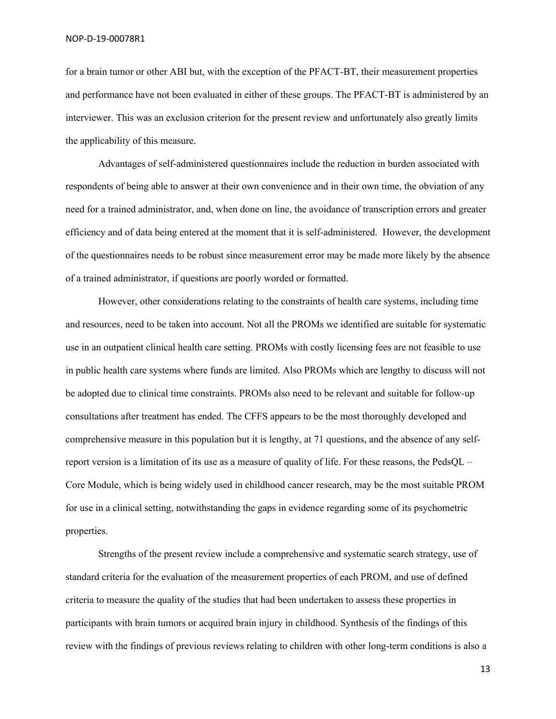for a brain tumor or other ABI but, with the exception of the PFACT-BT, their measurement properties and performance have not been evaluated in either of these groups. The PFACT-BT is administered by an interviewer. This was an exclusion criterion for the present review and unfortunately also greatly limits the applicability of this measure.

Advantages of self-administered questionnaires include the reduction in burden associated with respondents of being able to answer at their own convenience and in their own time, the obviation of any need for a trained administrator, and, when done on line, the avoidance of transcription errors and greater efficiency and of data being entered at the moment that it is self-administered. However, the development of the questionnaires needs to be robust since measurement error may be made more likely by the absence of a trained administrator, if questions are poorly worded or formatted.

However, other considerations relating to the constraints of health care systems, including time and resources, need to be taken into account. Not all the PROMs we identified are suitable for systematic use in an outpatient clinical health care setting. PROMs with costly licensing fees are not feasible to use in public health care systems where funds are limited. Also PROMs which are lengthy to discuss will not be adopted due to clinical time constraints. PROMs also need to be relevant and suitable for follow-up consultations after treatment has ended. The CFFS appears to be the most thoroughly developed and comprehensive measure in this population but it is lengthy, at 71 questions, and the absence of any selfreport version is a limitation of its use as a measure of quality of life. For these reasons, the PedsQL – Core Module, which is being widely used in childhood cancer research, may be the most suitable PROM for use in a clinical setting, notwithstanding the gaps in evidence regarding some of its psychometric properties.

Strengths of the present review include a comprehensive and systematic search strategy, use of standard criteria for the evaluation of the measurement properties of each PROM, and use of defined criteria to measure the quality of the studies that had been undertaken to assess these properties in participants with brain tumors or acquired brain injury in childhood. Synthesis of the findings of this review with the findings of previous reviews relating to children with other long-term conditions is also a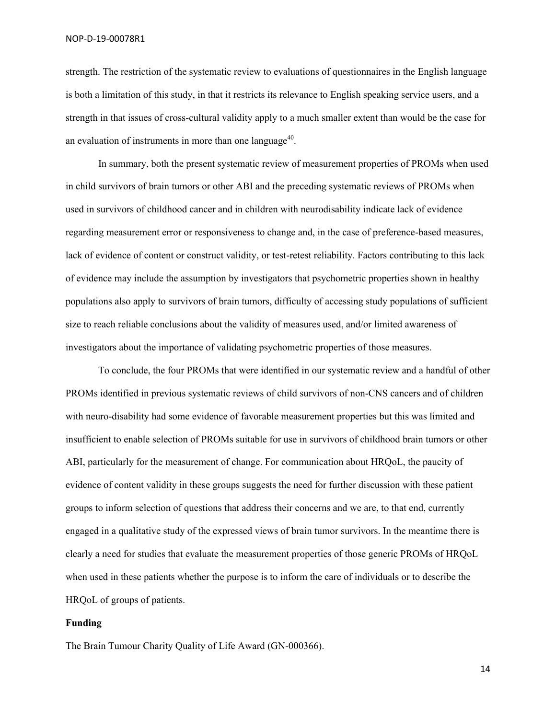NOP-D-19-00078R1

strength. The restriction of the systematic review to evaluations of questionnaires in the English language is both a limitation of this study, in that it restricts its relevance to English speaking service users, and a strength in that issues of cross-cultural validity apply to a much smaller extent than would be the case for an evaluation of instruments in more than one language<sup> $40$ </sup>.

In summary, both the present systematic review of measurement properties of PROMs when used in child survivors of brain tumors or other ABI and the preceding systematic reviews of PROMs when used in survivors of childhood cancer and in children with neurodisability indicate lack of evidence regarding measurement error or responsiveness to change and, in the case of preference-based measures, lack of evidence of content or construct validity, or test-retest reliability. Factors contributing to this lack of evidence may include the assumption by investigators that psychometric properties shown in healthy populations also apply to survivors of brain tumors, difficulty of accessing study populations of sufficient size to reach reliable conclusions about the validity of measures used, and/or limited awareness of investigators about the importance of validating psychometric properties of those measures.

To conclude, the four PROMs that were identified in our systematic review and a handful of other PROMs identified in previous systematic reviews of child survivors of non-CNS cancers and of children with neuro-disability had some evidence of favorable measurement properties but this was limited and insufficient to enable selection of PROMs suitable for use in survivors of childhood brain tumors or other ABI, particularly for the measurement of change. For communication about HRQoL, the paucity of evidence of content validity in these groups suggests the need for further discussion with these patient groups to inform selection of questions that address their concerns and we are, to that end, currently engaged in a qualitative study of the expressed views of brain tumor survivors. In the meantime there is clearly a need for studies that evaluate the measurement properties of those generic PROMs of HRQoL when used in these patients whether the purpose is to inform the care of individuals or to describe the HRQoL of groups of patients.

#### **Funding**

The Brain Tumour Charity Quality of Life Award (GN-000366).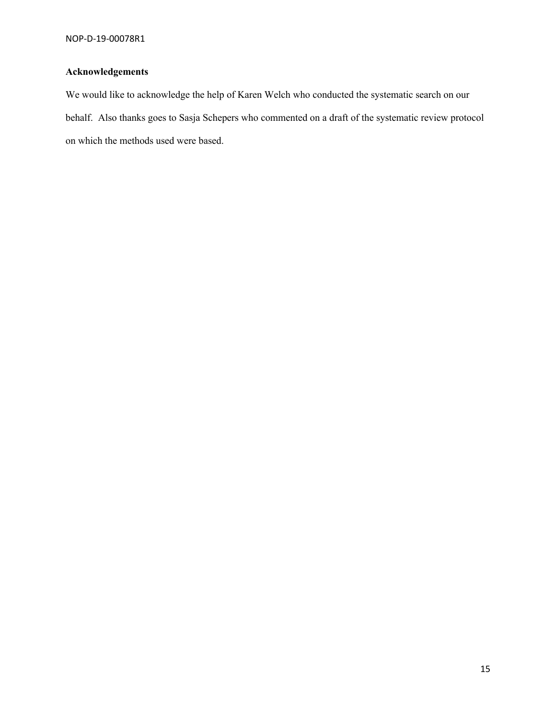# **Acknowledgements**

We would like to acknowledge the help of Karen Welch who conducted the systematic search on our behalf. Also thanks goes to Sasja Schepers who commented on a draft of the systematic review protocol on which the methods used were based.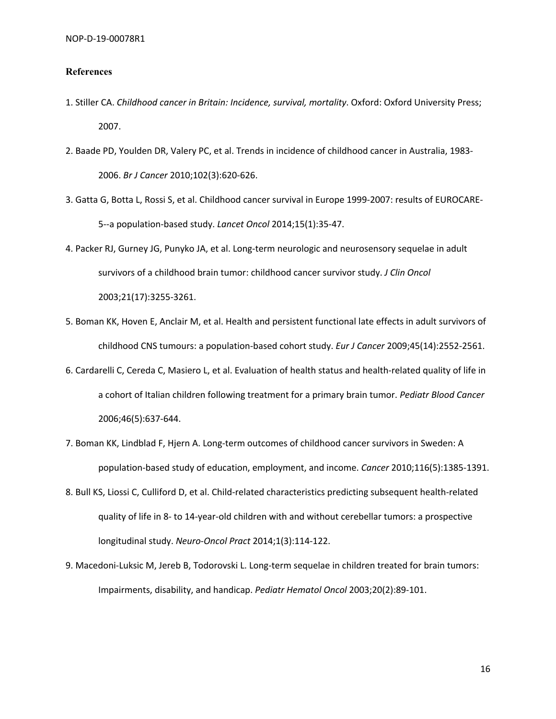#### **References**

- 1. Stiller CA. *Childhood cancer in Britain: Incidence, survival, mortality*. Oxford: Oxford University Press; 2007.
- 2. Baade PD, Youlden DR, Valery PC, et al. Trends in incidence of childhood cancer in Australia, 1983- 2006. *Br J Cancer* 2010;102(3):620-626.
- 3. Gatta G, Botta L, Rossi S, et al. Childhood cancer survival in Europe 1999-2007: results of EUROCARE-5--a population-based study. *Lancet Oncol* 2014;15(1):35-47.
- 4. Packer RJ, Gurney JG, Punyko JA, et al. Long-term neurologic and neurosensory sequelae in adult survivors of a childhood brain tumor: childhood cancer survivor study. *J Clin Oncol* 2003;21(17):3255-3261.
- 5. Boman KK, Hoven E, Anclair M, et al. Health and persistent functional late effects in adult survivors of childhood CNS tumours: a population-based cohort study. *Eur J Cancer* 2009;45(14):2552-2561.
- 6. Cardarelli C, Cereda C, Masiero L, et al. Evaluation of health status and health-related quality of life in a cohort of Italian children following treatment for a primary brain tumor. *Pediatr Blood Cancer* 2006;46(5):637-644.
- 7. Boman KK, Lindblad F, Hjern A. Long-term outcomes of childhood cancer survivors in Sweden: A population-based study of education, employment, and income. *Cancer* 2010;116(5):1385-1391.
- 8. Bull KS, Liossi C, Culliford D, et al. Child-related characteristics predicting subsequent health-related quality of life in 8- to 14-year-old children with and without cerebellar tumors: a prospective longitudinal study. *Neuro-Oncol Pract* 2014;1(3):114-122.
- 9. Macedoni-Luksic M, Jereb B, Todorovski L. Long-term sequelae in children treated for brain tumors: Impairments, disability, and handicap. *Pediatr Hematol Oncol* 2003;20(2):89-101.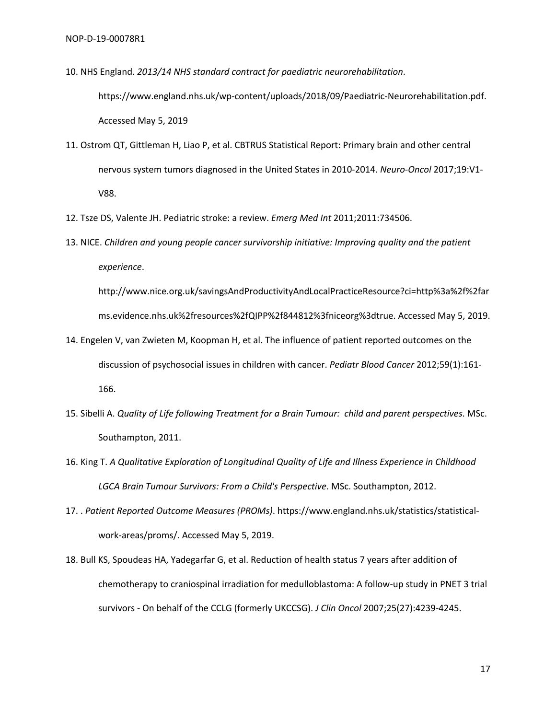10. NHS England. *2013/14 NHS standard contract for paediatric neurorehabilitation*. https://www.england.nhs.uk/wp-content/uploads/2018/09/Paediatric-Neurorehabilitation.pdf. Accessed May 5, 2019

- 11. Ostrom QT, Gittleman H, Liao P, et al. CBTRUS Statistical Report: Primary brain and other central nervous system tumors diagnosed in the United States in 2010-2014. *Neuro-Oncol* 2017;19:V1- V88.
- 12. Tsze DS, Valente JH. Pediatric stroke: a review. *Emerg Med Int* 2011;2011:734506.
- 13. NICE. *Children and young people cancer survivorship initiative: Improving quality and the patient experience*.

http://www.nice.org.uk/savingsAndProductivityAndLocalPracticeResource?ci=http%3a%2f%2far ms.evidence.nhs.uk%2fresources%2fQIPP%2f844812%3fniceorg%3dtrue. Accessed May 5, 2019.

- 14. Engelen V, van Zwieten M, Koopman H, et al. The influence of patient reported outcomes on the discussion of psychosocial issues in children with cancer. *Pediatr Blood Cancer* 2012;59(1):161- 166.
- 15. Sibelli A. *Quality of Life following Treatment for a Brain Tumour: child and parent perspectives*. MSc. Southampton, 2011.
- 16. King T. *A Qualitative Exploration of Longitudinal Quality of Life and Illness Experience in Childhood LGCA Brain Tumour Survivors: From a Child's Perspective*. MSc. Southampton, 2012.
- 17. . *Patient Reported Outcome Measures (PROMs)*. https://www.england.nhs.uk/statistics/statisticalwork-areas/proms/. Accessed May 5, 2019.
- 18. Bull KS, Spoudeas HA, Yadegarfar G, et al. Reduction of health status 7 years after addition of chemotherapy to craniospinal irradiation for medulloblastoma: A follow-up study in PNET 3 trial survivors - On behalf of the CCLG (formerly UKCCSG). *J Clin Oncol* 2007;25(27):4239-4245.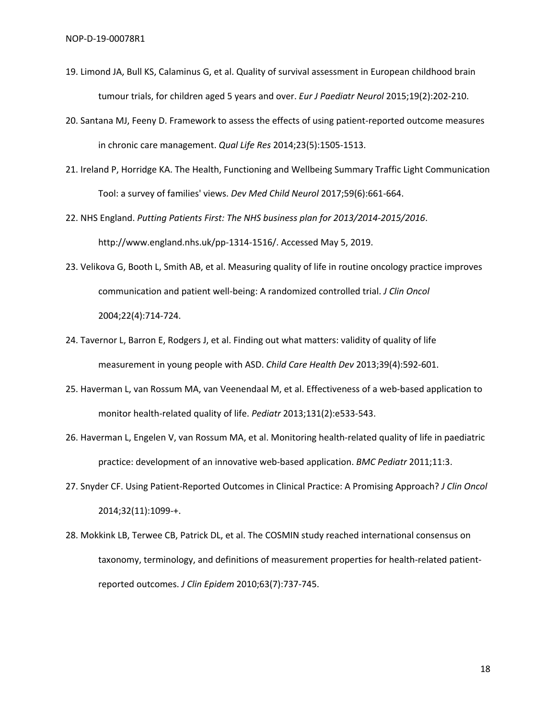- 19. Limond JA, Bull KS, Calaminus G, et al. Quality of survival assessment in European childhood brain tumour trials, for children aged 5 years and over. *Eur J Paediatr Neurol* 2015;19(2):202-210.
- 20. Santana MJ, Feeny D. Framework to assess the effects of using patient-reported outcome measures in chronic care management. *Qual Life Res* 2014;23(5):1505-1513.
- 21. Ireland P, Horridge KA. The Health, Functioning and Wellbeing Summary Traffic Light Communication Tool: a survey of families' views. *Dev Med Child Neurol* 2017;59(6):661-664.
- 22. NHS England. *Putting Patients First: The NHS business plan for 2013/2014-2015/2016*. http://www.england.nhs.uk/pp-1314-1516/. Accessed May 5, 2019.
- 23. Velikova G, Booth L, Smith AB, et al. Measuring quality of life in routine oncology practice improves communication and patient well-being: A randomized controlled trial. *J Clin Oncol* 2004;22(4):714-724.
- 24. Tavernor L, Barron E, Rodgers J, et al. Finding out what matters: validity of quality of life measurement in young people with ASD. *Child Care Health Dev* 2013;39(4):592-601.
- 25. Haverman L, van Rossum MA, van Veenendaal M, et al. Effectiveness of a web-based application to monitor health-related quality of life. *Pediatr* 2013;131(2):e533-543.
- 26. Haverman L, Engelen V, van Rossum MA, et al. Monitoring health-related quality of life in paediatric practice: development of an innovative web-based application. *BMC Pediatr* 2011;11:3.
- 27. Snyder CF. Using Patient-Reported Outcomes in Clinical Practice: A Promising Approach? *J Clin Oncol* 2014;32(11):1099-+.
- 28. Mokkink LB, Terwee CB, Patrick DL, et al. The COSMIN study reached international consensus on taxonomy, terminology, and definitions of measurement properties for health-related patientreported outcomes. *J Clin Epidem* 2010;63(7):737-745.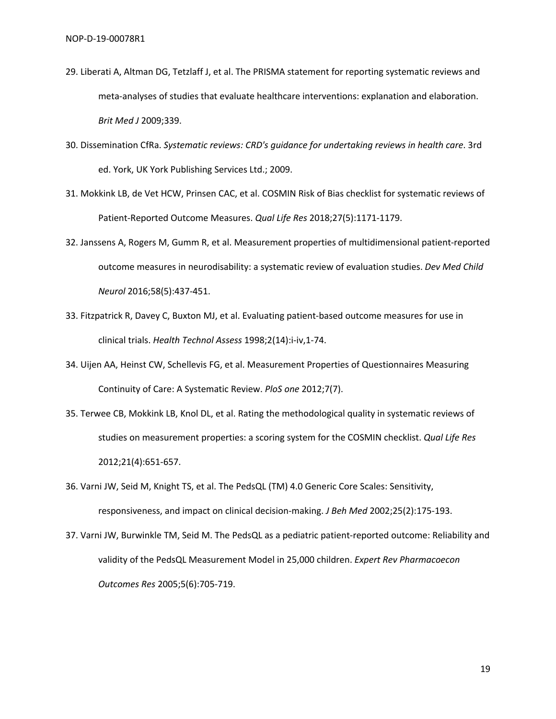- 29. Liberati A, Altman DG, Tetzlaff J, et al. The PRISMA statement for reporting systematic reviews and meta-analyses of studies that evaluate healthcare interventions: explanation and elaboration. *Brit Med J* 2009;339.
- 30. Dissemination CfRa. *Systematic reviews: CRD's guidance for undertaking reviews in health care*. 3rd ed. York, UK York Publishing Services Ltd.; 2009.
- 31. Mokkink LB, de Vet HCW, Prinsen CAC, et al. COSMIN Risk of Bias checklist for systematic reviews of Patient-Reported Outcome Measures. *Qual Life Res* 2018;27(5):1171-1179.
- 32. Janssens A, Rogers M, Gumm R, et al. Measurement properties of multidimensional patient-reported outcome measures in neurodisability: a systematic review of evaluation studies. *Dev Med Child Neurol* 2016;58(5):437-451.
- 33. Fitzpatrick R, Davey C, Buxton MJ, et al. Evaluating patient-based outcome measures for use in clinical trials. *Health Technol Assess* 1998;2(14):i-iv,1-74.
- 34. Uijen AA, Heinst CW, Schellevis FG, et al. Measurement Properties of Questionnaires Measuring Continuity of Care: A Systematic Review. *PloS one* 2012;7(7).
- 35. Terwee CB, Mokkink LB, Knol DL, et al. Rating the methodological quality in systematic reviews of studies on measurement properties: a scoring system for the COSMIN checklist. *Qual Life Res* 2012;21(4):651-657.
- 36. Varni JW, Seid M, Knight TS, et al. The PedsQL (TM) 4.0 Generic Core Scales: Sensitivity, responsiveness, and impact on clinical decision-making. *J Beh Med* 2002;25(2):175-193.
- 37. Varni JW, Burwinkle TM, Seid M. The PedsQL as a pediatric patient-reported outcome: Reliability and validity of the PedsQL Measurement Model in 25,000 children. *Expert Rev Pharmacoecon Outcomes Res* 2005;5(6):705-719.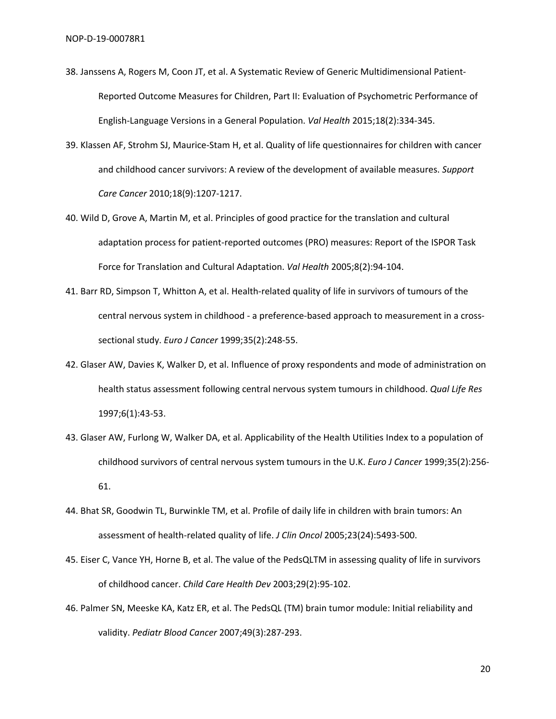- 38. Janssens A, Rogers M, Coon JT, et al. A Systematic Review of Generic Multidimensional Patient-Reported Outcome Measures for Children, Part II: Evaluation of Psychometric Performance of English-Language Versions in a General Population. *Val Health* 2015;18(2):334-345.
- 39. Klassen AF, Strohm SJ, Maurice-Stam H, et al. Quality of life questionnaires for children with cancer and childhood cancer survivors: A review of the development of available measures. *Support Care Cancer* 2010;18(9):1207-1217.
- 40. Wild D, Grove A, Martin M, et al. Principles of good practice for the translation and cultural adaptation process for patient-reported outcomes (PRO) measures: Report of the ISPOR Task Force for Translation and Cultural Adaptation. *Val Health* 2005;8(2):94-104.
- 41. Barr RD, Simpson T, Whitton A, et al. Health-related quality of life in survivors of tumours of the central nervous system in childhood - a preference-based approach to measurement in a crosssectional study. *Euro J Cancer* 1999;35(2):248-55.
- 42. Glaser AW, Davies K, Walker D, et al. Influence of proxy respondents and mode of administration on health status assessment following central nervous system tumours in childhood. *Qual Life Res* 1997;6(1):43-53.
- 43. Glaser AW, Furlong W, Walker DA, et al. Applicability of the Health Utilities Index to a population of childhood survivors of central nervous system tumours in the U.K. *Euro J Cancer* 1999;35(2):256- 61.
- 44. Bhat SR, Goodwin TL, Burwinkle TM, et al. Profile of daily life in children with brain tumors: An assessment of health-related quality of life. *J Clin Oncol* 2005;23(24):5493-500.
- 45. Eiser C, Vance YH, Horne B, et al. The value of the PedsQLTM in assessing quality of life in survivors of childhood cancer. *Child Care Health Dev* 2003;29(2):95-102.
- 46. Palmer SN, Meeske KA, Katz ER, et al. The PedsQL (TM) brain tumor module: Initial reliability and validity. *Pediatr Blood Cancer* 2007;49(3):287-293.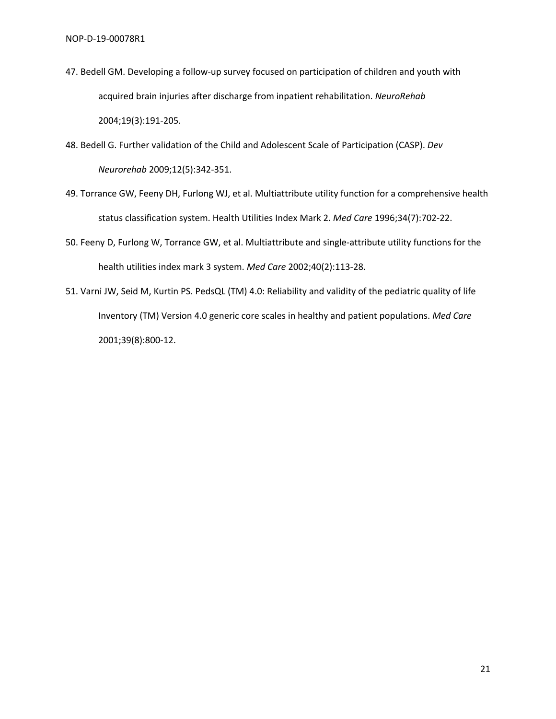- 47. Bedell GM. Developing a follow-up survey focused on participation of children and youth with acquired brain injuries after discharge from inpatient rehabilitation. *NeuroRehab* 2004;19(3):191-205.
- 48. Bedell G. Further validation of the Child and Adolescent Scale of Participation (CASP). *Dev Neurorehab* 2009;12(5):342-351.
- 49. Torrance GW, Feeny DH, Furlong WJ, et al. Multiattribute utility function for a comprehensive health status classification system. Health Utilities Index Mark 2. *Med Care* 1996;34(7):702-22.
- 50. Feeny D, Furlong W, Torrance GW, et al. Multiattribute and single-attribute utility functions for the health utilities index mark 3 system. *Med Care* 2002;40(2):113-28.
- 51. Varni JW, Seid M, Kurtin PS. PedsQL (TM) 4.0: Reliability and validity of the pediatric quality of life Inventory (TM) Version 4.0 generic core scales in healthy and patient populations. *Med Care* 2001;39(8):800-12.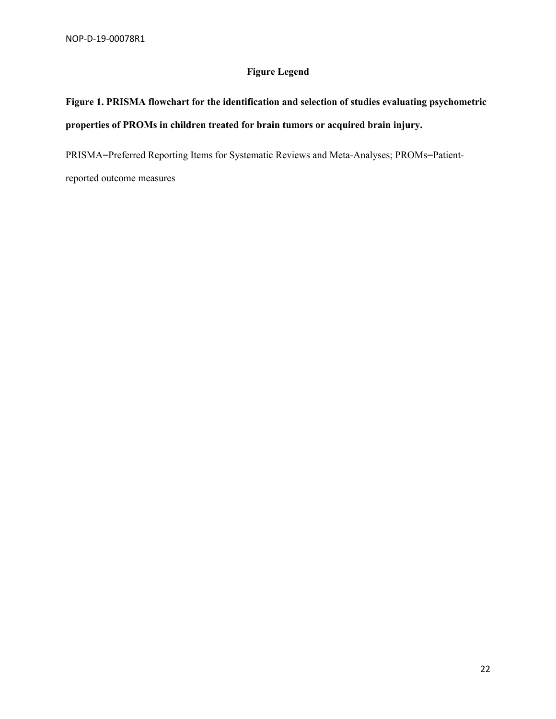### **Figure Legend**

# **Figure 1. PRISMA flowchart for the identification and selection of studies evaluating psychometric properties of PROMs in children treated for brain tumors or acquired brain injury.**

PRISMA=Preferred Reporting Items for Systematic Reviews and Meta-Analyses; PROMs=Patient-

reported outcome measures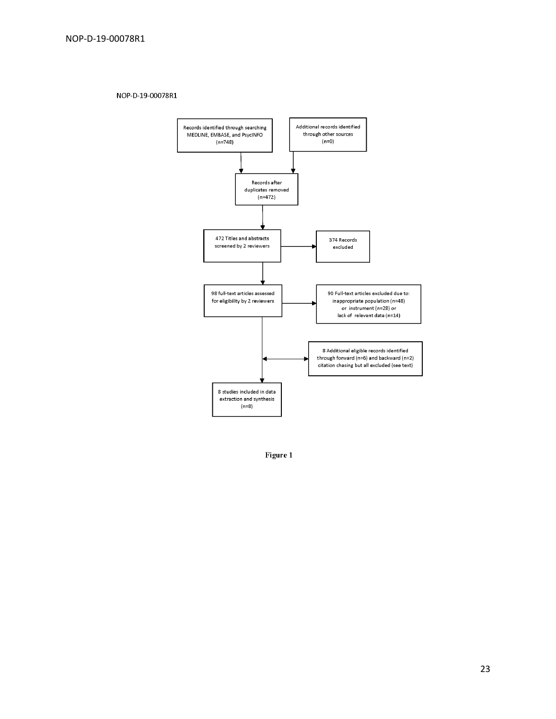NOP-D-19-00078R1



Figure 1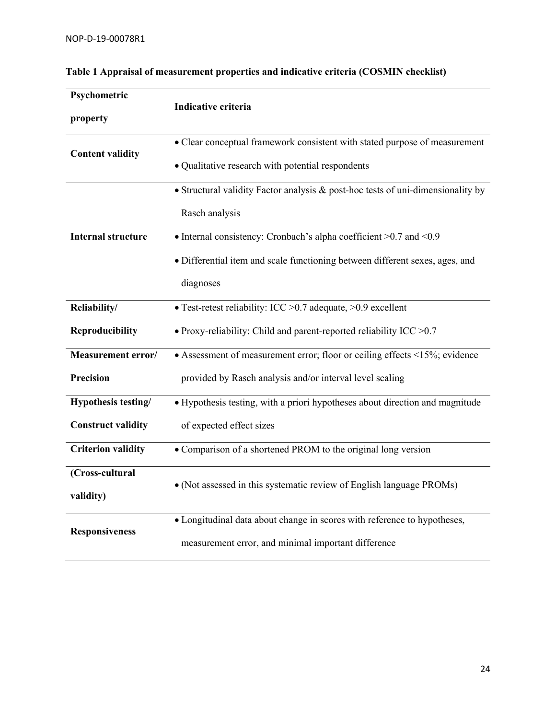| Psychometric              |                                                                                 |  |  |  |  |  |  |
|---------------------------|---------------------------------------------------------------------------------|--|--|--|--|--|--|
| property                  | Indicative criteria                                                             |  |  |  |  |  |  |
|                           | • Clear conceptual framework consistent with stated purpose of measurement      |  |  |  |  |  |  |
| <b>Content validity</b>   | • Qualitative research with potential respondents                               |  |  |  |  |  |  |
|                           | • Structural validity Factor analysis & post-hoc tests of uni-dimensionality by |  |  |  |  |  |  |
|                           | Rasch analysis                                                                  |  |  |  |  |  |  |
| <b>Internal structure</b> | • Internal consistency: Cronbach's alpha coefficient $>0.7$ and $< 0.9$         |  |  |  |  |  |  |
|                           | · Differential item and scale functioning between different sexes, ages, and    |  |  |  |  |  |  |
|                           | diagnoses                                                                       |  |  |  |  |  |  |
| Reliability/              | • Test-retest reliability: ICC > 0.7 adequate, > 0.9 excellent                  |  |  |  |  |  |  |
| <b>Reproducibility</b>    | • Proxy-reliability: Child and parent-reported reliability ICC $>0.7$           |  |  |  |  |  |  |
| Measurement error/        | • Assessment of measurement error; floor or ceiling effects <15%; evidence      |  |  |  |  |  |  |
| <b>Precision</b>          | provided by Rasch analysis and/or interval level scaling                        |  |  |  |  |  |  |
| Hypothesis testing/       | · Hypothesis testing, with a priori hypotheses about direction and magnitude    |  |  |  |  |  |  |
| <b>Construct validity</b> | of expected effect sizes                                                        |  |  |  |  |  |  |
| <b>Criterion validity</b> | • Comparison of a shortened PROM to the original long version                   |  |  |  |  |  |  |
| (Cross-cultural           |                                                                                 |  |  |  |  |  |  |
| validity)                 | • (Not assessed in this systematic review of English language PROMs)            |  |  |  |  |  |  |
|                           | · Longitudinal data about change in scores with reference to hypotheses,        |  |  |  |  |  |  |
| <b>Responsiveness</b>     | measurement error, and minimal important difference                             |  |  |  |  |  |  |

# **Table 1 Appraisal of measurement properties and indicative criteria (COSMIN checklist)**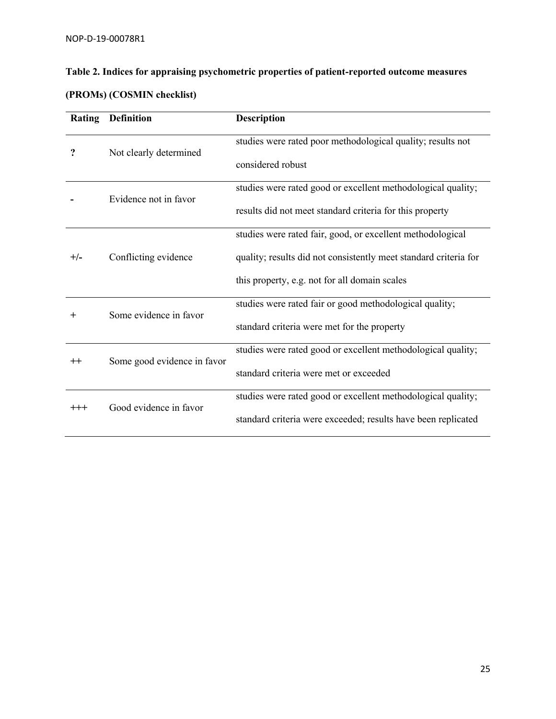| Table 2. Indices for appraising psychometric properties of patient-reported outcome measures |
|----------------------------------------------------------------------------------------------|
| $\sqrt{2}$                                                                                   |

| <b>Rating</b>    | <b>Definition</b>           | <b>Description</b>                                               |  |  |  |  |  |
|------------------|-----------------------------|------------------------------------------------------------------|--|--|--|--|--|
| ?                | Not clearly determined      | studies were rated poor methodological quality; results not      |  |  |  |  |  |
|                  |                             | considered robust                                                |  |  |  |  |  |
|                  | Evidence not in favor       | studies were rated good or excellent methodological quality;     |  |  |  |  |  |
|                  |                             | results did not meet standard criteria for this property         |  |  |  |  |  |
| $+/-$            |                             | studies were rated fair, good, or excellent methodological       |  |  |  |  |  |
|                  | Conflicting evidence        | quality; results did not consistently meet standard criteria for |  |  |  |  |  |
|                  |                             | this property, e.g. not for all domain scales                    |  |  |  |  |  |
| $\mathrm{+}$     | Some evidence in favor      | studies were rated fair or good methodological quality;          |  |  |  |  |  |
|                  |                             | standard criteria were met for the property                      |  |  |  |  |  |
| $^{\mathrm{++}}$ | Some good evidence in favor | studies were rated good or excellent methodological quality;     |  |  |  |  |  |
|                  |                             | standard criteria were met or exceeded                           |  |  |  |  |  |
| $^{\rm ++}$      | Good evidence in favor      | studies were rated good or excellent methodological quality;     |  |  |  |  |  |
|                  |                             | standard criteria were exceeded; results have been replicated    |  |  |  |  |  |

### **(PROMs) (COSMIN checklist)**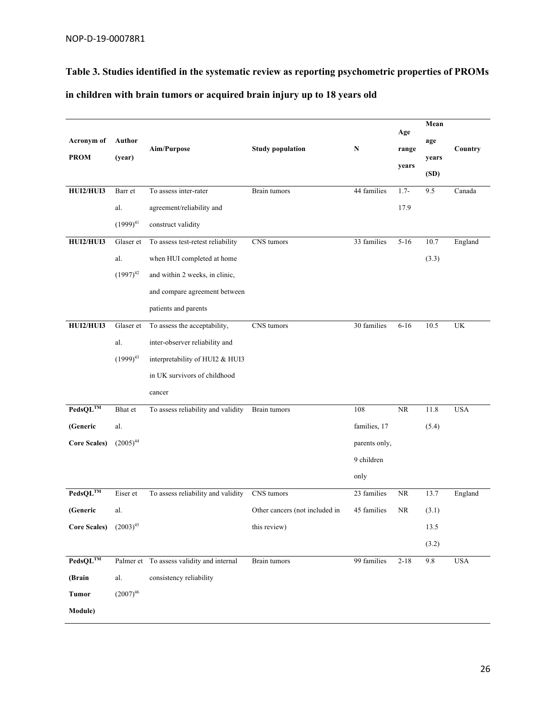**Table 3. Studies identified in the systematic review as reporting psychometric properties of PROMs in children with brain tumors or acquired brain injury up to 18 years old** 

|                            |               |                                           |                                |               |          | Mean  |                                 |
|----------------------------|---------------|-------------------------------------------|--------------------------------|---------------|----------|-------|---------------------------------|
| Acronym of                 | Author        |                                           |                                |               | Age      | age   |                                 |
| <b>PROM</b>                | (year)        | Aim/Purpose                               | <b>Study population</b>        | N             | range    | years | Country                         |
|                            |               |                                           |                                |               | years    | (SD)  |                                 |
| HUI2/HUI3                  | Barr et       | To assess inter-rater                     | Brain tumors                   | 44 families   | $1.7-$   | 9.5   | Canada                          |
|                            | al.           | agreement/reliability and                 |                                |               | 17.9     |       |                                 |
|                            | $(1999)^{41}$ | construct validity                        |                                |               |          |       |                                 |
| HUI2/HUI3                  | Glaser et     | To assess test-retest reliability         | CNS tumors                     | 33 families   | $5 - 16$ | 10.7  | England                         |
|                            | al.           | when HUI completed at home                |                                |               |          | (3.3) |                                 |
|                            | $(1997)^{42}$ | and within 2 weeks, in clinic,            |                                |               |          |       |                                 |
|                            |               | and compare agreement between             |                                |               |          |       |                                 |
|                            |               | patients and parents                      |                                |               |          |       |                                 |
| HUI2/HUI3                  | Glaser et     | To assess the acceptability,              | CNS tumors                     | 30 families   | $6 - 16$ | 10.5  | $\ensuremath{\text{UK}}\xspace$ |
|                            | al.           | inter-observer reliability and            |                                |               |          |       |                                 |
|                            | $(1999)^{43}$ | interpretability of HUI2 & HUI3           |                                |               |          |       |                                 |
|                            |               | in UK survivors of childhood              |                                |               |          |       |                                 |
|                            |               | cancer                                    |                                |               |          |       |                                 |
| $PedsQL^{TM}$              | Bhat et       | To assess reliability and validity        | Brain tumors                   | 108           | $\rm NR$ | 11.8  | <b>USA</b>                      |
| (Generic                   | al.           |                                           |                                | families, 17  |          | (5.4) |                                 |
| <b>Core Scales)</b>        | $(2005)^{44}$ |                                           |                                | parents only, |          |       |                                 |
|                            |               |                                           |                                | 9 children    |          |       |                                 |
|                            |               |                                           |                                | only          |          |       |                                 |
| $PedsQL^{TM}$              | Eiser et      | To assess reliability and validity        | CNS tumors                     | 23 families   | NR       | 13.7  | England                         |
| (Generic                   | al.           |                                           | Other cancers (not included in | 45 families   | NR.      | (3.1) |                                 |
| Core Scales) $(2003)^{45}$ |               |                                           | this review)                   |               |          | 13.5  |                                 |
|                            |               |                                           |                                |               |          | (3.2) |                                 |
| $PedsQL^{TM}$              |               | Palmer et To assess validity and internal | Brain tumors                   | 99 families   | $2 - 18$ | 9.8   | <b>USA</b>                      |
| (Brain                     | al.           | consistency reliability                   |                                |               |          |       |                                 |
| <b>Tumor</b>               | $(2007)^{46}$ |                                           |                                |               |          |       |                                 |
| Module)                    |               |                                           |                                |               |          |       |                                 |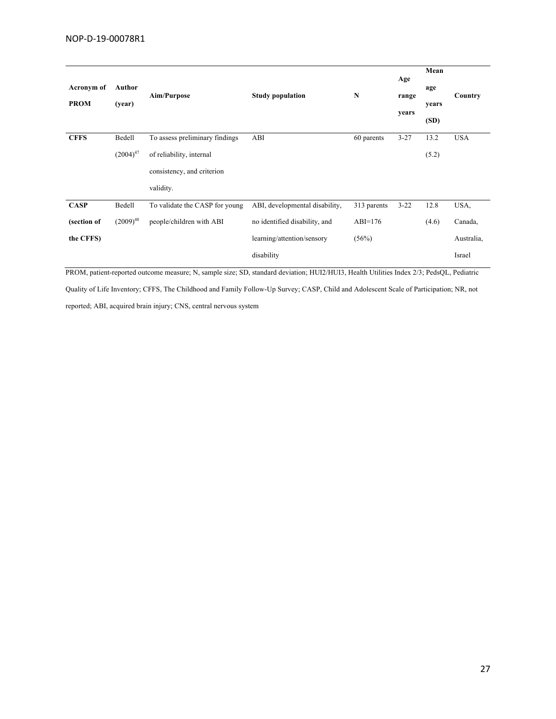|             |               |                                |                                |             | Age      | Mean  |            |
|-------------|---------------|--------------------------------|--------------------------------|-------------|----------|-------|------------|
| Acronym of  | Author        |                                |                                | $\mathbf N$ |          | age   | Country    |
| <b>PROM</b> | (year)        | Aim/Purpose                    | <b>Study population</b>        |             | range    | years |            |
|             |               |                                |                                |             | years    | (SD)  |            |
| <b>CFFS</b> | Bedell        | To assess preliminary findings | ABI                            | 60 parents  | $3 - 27$ | 13.2  | <b>USA</b> |
|             | $(2004)^{47}$ | of reliability, internal       |                                |             |          | (5.2) |            |
|             |               | consistency, and criterion     |                                |             |          |       |            |
|             |               | validity.                      |                                |             |          |       |            |
| <b>CASP</b> | Bedell        | To validate the CASP for young | ABI, developmental disability, | 313 parents | $3 - 22$ | 12.8  | USA,       |
| (section of | $(2009)^{48}$ | people/children with ABI       | no identified disability, and  | $ABI=176$   |          | (4.6) | Canada,    |
| the CFFS)   |               |                                | learning/attention/sensory     | (56%)       |          |       | Australia, |
|             |               |                                | disability                     |             |          |       | Israel     |
|             |               |                                |                                |             |          |       |            |

PROM, patient-reported outcome measure; N, sample size; SD, standard deviation; HUI2/HUI3, Health Utilities Index 2/3; PedsQL, Pediatric

Quality of Life Inventory; CFFS, The Childhood and Family Follow-Up Survey; CASP, Child and Adolescent Scale of Participation; NR, not

reported; ABI, acquired brain injury; CNS, central nervous system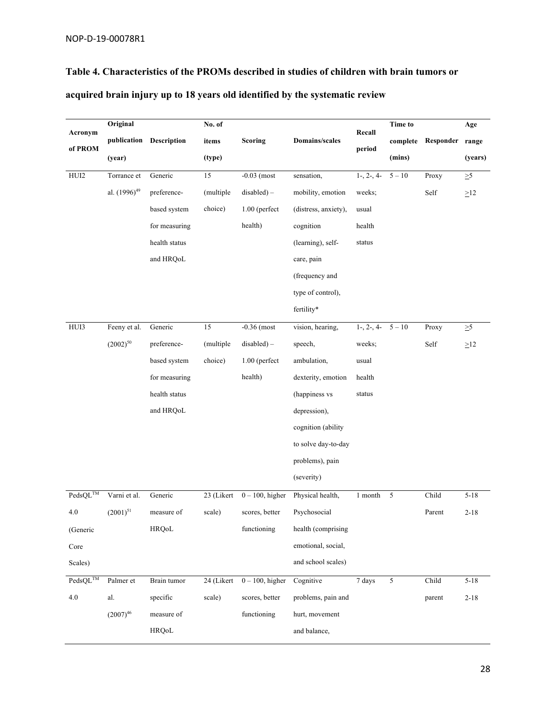# **Table 4. Characteristics of the PROMs described in studies of children with brain tumors or**

|  |  |  | acquired brain injury up to 18 years old identified by the systematic review |  |
|--|--|--|------------------------------------------------------------------------------|--|
|  |  |  |                                                                              |  |

|                             | Original                 |                    | No. of     |                    |                       | Recall               | <b>Time to</b> |           | Age       |
|-----------------------------|--------------------------|--------------------|------------|--------------------|-----------------------|----------------------|----------------|-----------|-----------|
| Acronym                     | publication              | <b>Description</b> | items      | Scoring            | <b>Domains/scales</b> |                      | complete       | Responder | range     |
| of PROM                     | (year)                   |                    | (type)     |                    |                       | period               | (mins)         |           | (years)   |
| ${\rm HUI2}$                | Torrance et              | Generic            | 15         | $-0.03$ (most      | sensation,            | $1-, 2-, 4-$         | $5 - 10$       | Proxy     | $\geq 5$  |
|                             | al. (1996) <sup>49</sup> | preference-        | (multiple  | $disabeled$ ) –    | mobility, emotion     | weeks;               |                | Self      | $\geq$ 12 |
|                             |                          | based system       | choice)    | $1.00$ (perfect    | (distress, anxiety),  | usual                |                |           |           |
|                             |                          | for measuring      |            | health)            | cognition             | health               |                |           |           |
|                             |                          | health status      |            |                    | (learning), self-     | status               |                |           |           |
|                             |                          | and HRQoL          |            |                    | care, pain            |                      |                |           |           |
|                             |                          |                    |            |                    | (frequency and        |                      |                |           |           |
|                             |                          |                    |            |                    | type of control),     |                      |                |           |           |
|                             |                          |                    |            |                    | fertility*            |                      |                |           |           |
| HUI3                        | Feeny et al.             | Generic            | 15         | $-0.36$ (most      | vision, hearing,      | $1-, 2-, 4-$         | $5 - 10$       | Proxy     | $\geq 5$  |
|                             | $(2002)^{50}$            | preference-        | (multiple  | $disabeled$ ) –    | speech,               | weeks;               |                | Self      | $\geq$ 12 |
|                             |                          | based system       | choice)    | $1.00$ (perfect    | ambulation,           | usual                |                |           |           |
|                             |                          | for measuring      |            | health)            | dexterity, emotion    | health               |                |           |           |
|                             |                          | health status      |            |                    | (happiness vs         | status               |                |           |           |
|                             |                          | and HRQoL          |            |                    | depression),          |                      |                |           |           |
|                             |                          |                    |            |                    | cognition (ability    |                      |                |           |           |
|                             |                          |                    |            |                    | to solve day-to-day   |                      |                |           |           |
|                             |                          |                    |            |                    | problems), pain       |                      |                |           |           |
|                             |                          |                    |            |                    | (severity)            |                      |                |           |           |
| PedsQL™                     | Varni et al.             | Generic            | 23 (Likert | $0 - 100$ , higher | Physical health,      | $1 \ \mathsf{month}$ | $\sqrt{5}$     | Child     | $5 - 18$  |
| 4.0                         | $(2001)^{51}$            | measure of         | scale)     | scores, better     | Psychosocial          |                      |                | Parent    | $2 - 18$  |
| (Generic                    |                          | <b>HRQoL</b>       |            | functioning        | health (comprising    |                      |                |           |           |
| Core                        |                          |                    |            |                    | emotional, social,    |                      |                |           |           |
| Scales)                     |                          |                    |            |                    | and school scales)    |                      |                |           |           |
| $\text{PedsQL}^{\text{TM}}$ | Palmer et                | Brain tumor        | 24 (Likert | $0 - 100$ , higher | Cognitive             | 7 days               | $\mathfrak{S}$ | Child     | $5 - 18$  |
| 4.0                         | al.                      | specific           | scale)     | scores, better     | problems, pain and    |                      |                | parent    | $2 - 18$  |
|                             | $(2007)^{46}$            | measure of         |            | functioning        | hurt, movement        |                      |                |           |           |
|                             |                          | HRQoL              |            |                    | and balance,          |                      |                |           |           |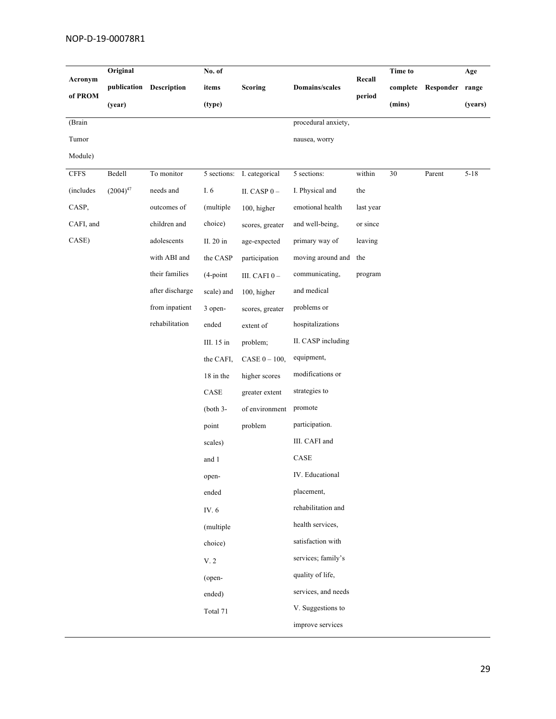| Acronym      | Original      |                 | No. of      |                  |                       | Recall    | <b>Time to</b> | Age             |          |
|--------------|---------------|-----------------|-------------|------------------|-----------------------|-----------|----------------|-----------------|----------|
|              | publication   | Description     | items       | <b>Scoring</b>   | <b>Domains/scales</b> |           | complete       | Responder range |          |
| of PROM      | (year)        |                 | (type)      |                  |                       | period    | (mins)         |                 | (years)  |
| (Brain       |               |                 |             |                  | procedural anxiety,   |           |                |                 |          |
| Tumor        |               |                 |             |                  | nausea, worry         |           |                |                 |          |
| Module)      |               |                 |             |                  |                       |           |                |                 |          |
| ${\rm CFFS}$ | Bedell        | To monitor      | 5 sections: | I. categorical   | 5 sections:           | within    | 30             | Parent          | $5 - 18$ |
| (includes    | $(2004)^{47}$ | needs and       | I. 6        | II. CASP $0-$    | I. Physical and       | the       |                |                 |          |
| CASP,        |               | outcomes of     | (multiple   | 100, higher      | emotional health      | last year |                |                 |          |
| CAFI, and    |               | children and    | choice)     | scores, greater  | and well-being,       | or since  |                |                 |          |
| CASE)        |               | adolescents     | II. 20 in   | age-expected     | primary way of        | leaving   |                |                 |          |
|              |               | with ABI and    | the CASP    | participation    | moving around and     | the       |                |                 |          |
|              |               | their families  | $(4$ -point | III. CAFI $0-$   | communicating,        | program   |                |                 |          |
|              |               | after discharge | scale) and  | 100, higher      | and medical           |           |                |                 |          |
|              |               | from inpatient  | 3 open-     | scores, greater  | problems or           |           |                |                 |          |
|              |               | rehabilitation  | ended       | extent of        | hospitalizations      |           |                |                 |          |
|              |               |                 | III. 15 in  | problem;         | II. CASP including    |           |                |                 |          |
|              |               |                 | the CAFI,   | CASE $0 - 100$ , | equipment,            |           |                |                 |          |
|              |               |                 | 18 in the   | higher scores    | modifications or      |           |                |                 |          |
|              |               |                 | $\rm CASE$  | greater extent   | strategies to         |           |                |                 |          |
|              |               |                 | $(both 3-$  | of environment   | promote               |           |                |                 |          |
|              |               |                 | point       | problem          | participation.        |           |                |                 |          |
|              |               |                 | scales)     |                  | III. CAFI and         |           |                |                 |          |
|              |               |                 | and 1       |                  | $\rm CASE$            |           |                |                 |          |
|              |               |                 | open-       |                  | IV. Educational       |           |                |                 |          |
|              |               |                 | ended       |                  | placement,            |           |                |                 |          |
|              |               |                 | IV. 6       |                  | rehabilitation and    |           |                |                 |          |
|              |               |                 | (multiple   |                  | health services,      |           |                |                 |          |
|              |               |                 | choice)     |                  | satisfaction with     |           |                |                 |          |
|              |               |                 | V. 2        |                  | services; family's    |           |                |                 |          |
|              |               |                 | (open-      |                  | quality of life,      |           |                |                 |          |
|              |               |                 | ended)      |                  | services, and needs   |           |                |                 |          |
|              |               |                 | Total 71    |                  | V. Suggestions to     |           |                |                 |          |
|              |               |                 |             |                  | improve services      |           |                |                 |          |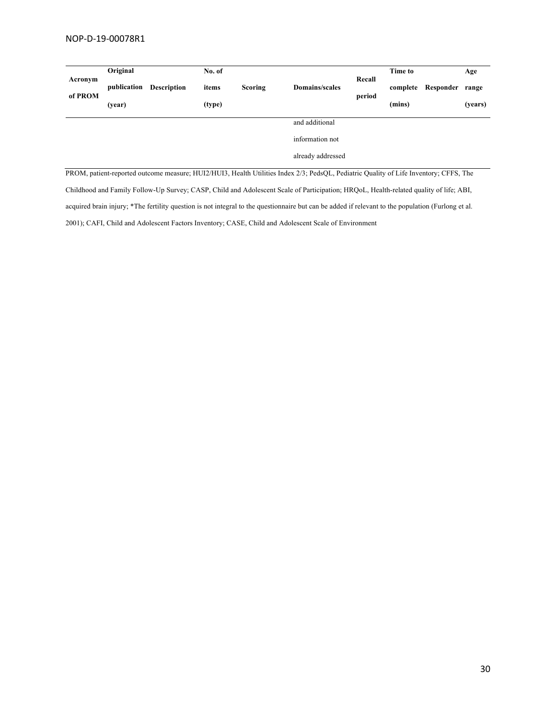| Acronym<br>of PROM | Original              |                    | No. of          |                |                                                                                                                                       | Recall<br>period | Time to            |           | Age              |
|--------------------|-----------------------|--------------------|-----------------|----------------|---------------------------------------------------------------------------------------------------------------------------------------|------------------|--------------------|-----------|------------------|
|                    | publication<br>(year) | <b>Description</b> | items<br>(type) | <b>Scoring</b> | Domains/scales                                                                                                                        |                  | complete<br>(mins) | Responder | range<br>(years) |
|                    |                       |                    |                 |                | and additional                                                                                                                        |                  |                    |           |                  |
|                    |                       |                    |                 |                | information not                                                                                                                       |                  |                    |           |                  |
|                    |                       |                    |                 |                | already addressed                                                                                                                     |                  |                    |           |                  |
|                    |                       |                    |                 |                | PROM, patient-reported outcome measure; HUI2/HUI3, Health Utilities Index 2/3; PedsQL, Pediatric Quality of Life Inventory; CFFS, The |                  |                    |           |                  |

Childhood and Family Follow-Up Survey; CASP, Child and Adolescent Scale of Participation; HRQoL, Health-related quality of life; ABI, acquired brain injury; \*The fertility question is not integral to the questionnaire but can be added if relevant to the population (Furlong et al. 2001); CAFI, Child and Adolescent Factors Inventory; CASE, Child and Adolescent Scale of Environment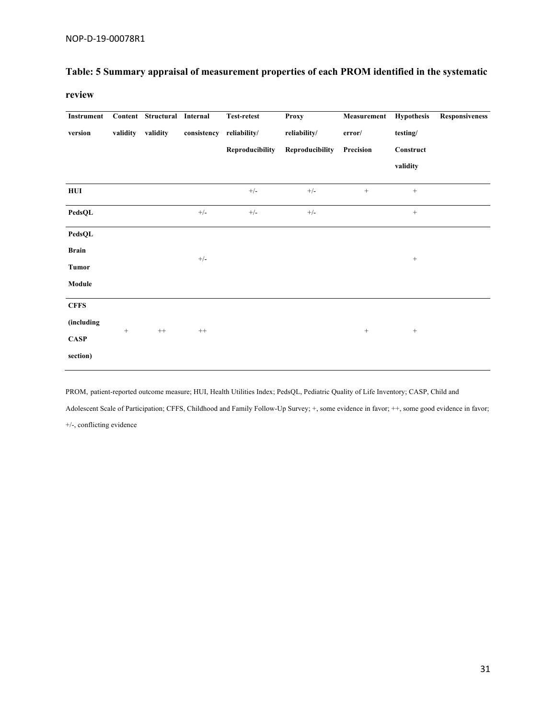# **Table: 5 Summary appraisal of measurement properties of each PROM identified in the systematic**

**review**

| Instrument   |          | Content Structural | Internal    | <b>Test-retest</b> | <b>Proxy</b>    | Measurement | <b>Hypothesis</b> | <b>Responsiveness</b> |
|--------------|----------|--------------------|-------------|--------------------|-----------------|-------------|-------------------|-----------------------|
| version      | validity | validity           | consistency | reliability/       | reliability/    | error/      | testing/          |                       |
|              |          |                    |             | Reproducibility    | Reproducibility | Precision   | Construct         |                       |
|              |          |                    |             |                    |                 |             | validity          |                       |
| HUI          |          |                    |             | $^{+/-}$           | $+/-$           | $^+$        | $^+$              |                       |
| PedsQL       |          |                    | $+/-$       | $+/-$              | $+/-$           |             | $\,$ + $\,$       |                       |
| PedsQL       |          |                    |             |                    |                 |             |                   |                       |
| <b>Brain</b> |          |                    |             |                    |                 |             |                   |                       |
| <b>Tumor</b> |          |                    | $+/-$       |                    |                 |             | $^+$              |                       |
| Module       |          |                    |             |                    |                 |             |                   |                       |
| <b>CFFS</b>  |          |                    |             |                    |                 |             |                   |                       |
| (including   |          | $^{++}$            |             |                    |                 |             |                   |                       |
| <b>CASP</b>  | $^{+}$   |                    | $++$        |                    |                 | $^{+}$      | $\! + \!\!\!\!$   |                       |
| section)     |          |                    |             |                    |                 |             |                   |                       |

PROM, patient-reported outcome measure; HUI, Health Utilities Index; PedsQL, Pediatric Quality of Life Inventory; CASP, Child and

Adolescent Scale of Participation; CFFS, Childhood and Family Follow-Up Survey; +, some evidence in favor; ++, some good evidence in favor; +/-, conflicting evidence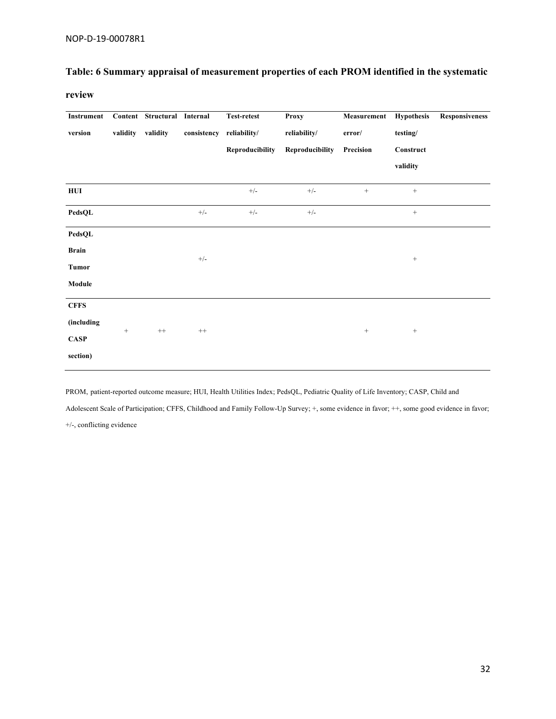## **Table: 6 Summary appraisal of measurement properties of each PROM identified in the systematic**

**review**

| Instrument   |          | Content Structural | Internal    | <b>Test-retest</b> | <b>Proxy</b>    | Measurement | <b>Hypothesis</b> | <b>Responsiveness</b> |
|--------------|----------|--------------------|-------------|--------------------|-----------------|-------------|-------------------|-----------------------|
| version      | validity | validity           | consistency | reliability/       | reliability/    | error/      | testing/          |                       |
|              |          |                    |             | Reproducibility    | Reproducibility | Precision   | Construct         |                       |
|              |          |                    |             |                    |                 |             | validity          |                       |
| HUI          |          |                    |             | $^{+/-}$           | $+/-$           | $^+$        | $^+$              |                       |
| PedsQL       |          |                    | $+/-$       | $+/-$              | $+/-$           |             | $\,$ + $\,$       |                       |
| PedsQL       |          |                    |             |                    |                 |             |                   |                       |
| <b>Brain</b> |          |                    |             |                    |                 |             |                   |                       |
| <b>Tumor</b> |          |                    | $+/-$       |                    |                 |             | $^+$              |                       |
| Module       |          |                    |             |                    |                 |             |                   |                       |
| <b>CFFS</b>  |          |                    |             |                    |                 |             |                   |                       |
| (including   |          | $^{++}$            |             |                    |                 |             |                   |                       |
| <b>CASP</b>  | $^{+}$   |                    | $++$        |                    |                 | $^{+}$      | $\! + \!\!\!\!$   |                       |
| section)     |          |                    |             |                    |                 |             |                   |                       |

PROM, patient-reported outcome measure; HUI, Health Utilities Index; PedsQL, Pediatric Quality of Life Inventory; CASP, Child and

Adolescent Scale of Participation; CFFS, Childhood and Family Follow-Up Survey; +, some evidence in favor; ++, some good evidence in favor; +/-, conflicting evidence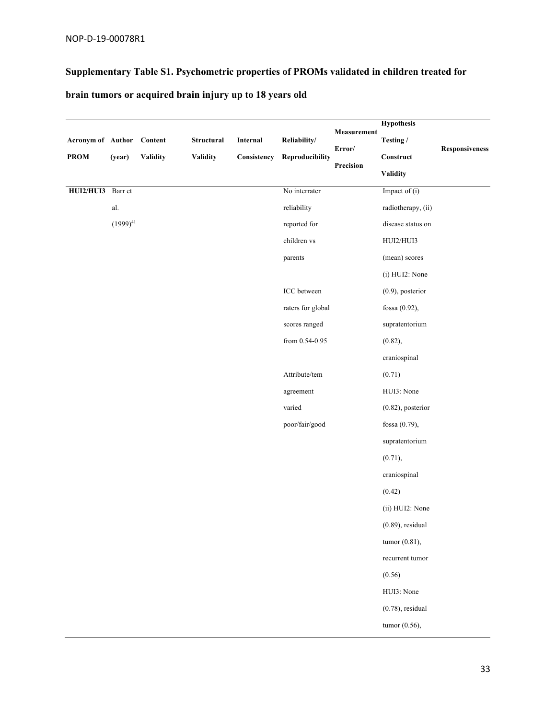## **Supplementary Table S1. Psychometric properties of PROMs validated in children treated for**

**brain tumors or acquired brain injury up to 18 years old**

|                           |               |          |            |             |                   | Measurement | <b>Hypothesis</b>    |                       |
|---------------------------|---------------|----------|------------|-------------|-------------------|-------------|----------------------|-----------------------|
| Acronym of Author Content |               |          | Structural | Internal    | Reliability/      | Error/      | Testing /            | <b>Responsiveness</b> |
| <b>PROM</b>               | (year)        | Validity | Validity   | Consistency | Reproducibility   | Precision   | Construct            |                       |
|                           |               |          |            |             |                   |             | <b>Validity</b>      |                       |
| HUI2/HUI3 Barr et         |               |          |            |             | No interrater     |             | Impact of (i)        |                       |
|                           | al.           |          |            |             | reliability       |             | radiotherapy, (ii)   |                       |
|                           | $(1999)^{41}$ |          |            |             | reported for      |             | disease status on    |                       |
|                           |               |          |            |             | children vs       |             | HUI2/HUI3            |                       |
|                           |               |          |            |             | parents           |             | (mean) scores        |                       |
|                           |               |          |            |             |                   |             | (i) HUI2: None       |                       |
|                           |               |          |            |             | ICC between       |             | $(0.9)$ , posterior  |                       |
|                           |               |          |            |             | raters for global |             | fossa (0.92),        |                       |
|                           |               |          |            |             | scores ranged     |             | supratentorium       |                       |
|                           |               |          |            |             | from 0.54-0.95    |             | (0.82),              |                       |
|                           |               |          |            |             |                   |             | craniospinal         |                       |
|                           |               |          |            |             | Attribute/tem     |             | (0.71)               |                       |
|                           |               |          |            |             | agreement         |             | HUI3: None           |                       |
|                           |               |          |            |             | varied            |             | $(0.82)$ , posterior |                       |
|                           |               |          |            |             | poor/fair/good    |             | fossa (0.79),        |                       |
|                           |               |          |            |             |                   |             | supratentorium       |                       |
|                           |               |          |            |             |                   |             | (0.71),              |                       |
|                           |               |          |            |             |                   |             | craniospinal         |                       |
|                           |               |          |            |             |                   |             | (0.42)               |                       |
|                           |               |          |            |             |                   |             | (ii) HUI2: None      |                       |
|                           |               |          |            |             |                   |             | $(0.89)$ , residual  |                       |
|                           |               |          |            |             |                   |             | tumor $(0.81)$ ,     |                       |
|                           |               |          |            |             |                   |             | recurrent tumor      |                       |
|                           |               |          |            |             |                   |             | (0.56)               |                       |
|                           |               |          |            |             |                   |             | HUI3: None           |                       |
|                           |               |          |            |             |                   |             | $(0.78)$ , residual  |                       |
|                           |               |          |            |             |                   |             | tumor (0.56),        |                       |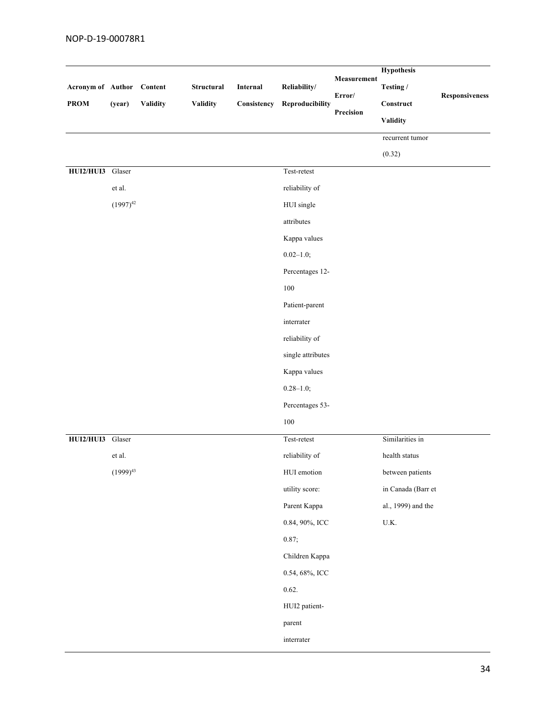| Acronym of Author<br><b>PROM</b> | (year)        | $\label{1} \textbf{Content}$<br><b>Validity</b> | Structural<br><b>Validity</b> | Internal<br>Consistency | Reliability/<br>Reproducibility       | <b>Hypothesis</b><br>Measurement<br>Testing /<br>Error/<br>$\label{eq:construct} Construct$<br>Precision<br><b>Validity</b> |                          | Responsiveness |
|----------------------------------|---------------|-------------------------------------------------|-------------------------------|-------------------------|---------------------------------------|-----------------------------------------------------------------------------------------------------------------------------|--------------------------|----------------|
|                                  |               |                                                 |                               |                         |                                       |                                                                                                                             | recurrent tumor          |                |
|                                  |               |                                                 |                               |                         |                                       |                                                                                                                             | (0.32)                   |                |
| HUI2/HUI3 Glaser                 |               |                                                 |                               |                         | $\operatorname{\mathsf{Test}-retest}$ |                                                                                                                             |                          |                |
|                                  | et al.        |                                                 |                               |                         | reliability of                        |                                                                                                                             |                          |                |
|                                  | $(1997)^{42}$ |                                                 |                               |                         | HUI single                            |                                                                                                                             |                          |                |
|                                  |               |                                                 |                               |                         | attributes                            |                                                                                                                             |                          |                |
|                                  |               |                                                 |                               |                         | Kappa values                          |                                                                                                                             |                          |                |
|                                  |               |                                                 |                               |                         | $0.02 - 1.0;$                         |                                                                                                                             |                          |                |
|                                  |               |                                                 |                               |                         | Percentages 12-                       |                                                                                                                             |                          |                |
|                                  |               |                                                 |                               |                         | $100\,$                               |                                                                                                                             |                          |                |
|                                  |               |                                                 |                               |                         | Patient-parent                        |                                                                                                                             |                          |                |
|                                  |               |                                                 |                               |                         | interrater                            |                                                                                                                             |                          |                |
|                                  |               |                                                 |                               |                         | reliability of                        |                                                                                                                             |                          |                |
|                                  |               |                                                 |                               |                         | single attributes                     |                                                                                                                             |                          |                |
|                                  |               |                                                 |                               |                         | Kappa values                          |                                                                                                                             |                          |                |
|                                  |               |                                                 |                               |                         | $0.28 - 1.0;$                         |                                                                                                                             |                          |                |
|                                  |               |                                                 |                               |                         | Percentages 53-                       |                                                                                                                             |                          |                |
|                                  |               |                                                 |                               |                         | $100\,$                               |                                                                                                                             |                          |                |
| HUI2/HUI3 Glaser                 |               |                                                 |                               |                         | Test-retest                           |                                                                                                                             | Similarities in          |                |
|                                  | et al.        |                                                 |                               |                         | reliability of                        |                                                                                                                             | health status            |                |
|                                  | $(1999)^{43}$ |                                                 |                               |                         | HUI emotion                           |                                                                                                                             | between patients         |                |
|                                  |               |                                                 |                               |                         | utility score:                        |                                                                                                                             | in Canada (Barr et       |                |
|                                  |               |                                                 |                               |                         | Parent Kappa                          |                                                                                                                             | al., 1999) and the       |                |
|                                  |               |                                                 |                               |                         | 0.84, 90%, ICC                        |                                                                                                                             | $\mathbf{U}.\mathbf{K}.$ |                |
|                                  |               |                                                 |                               |                         | 0.87;                                 |                                                                                                                             |                          |                |
|                                  |               |                                                 |                               |                         | Children Kappa                        |                                                                                                                             |                          |                |
|                                  |               |                                                 |                               |                         | 0.54, 68%, ICC                        |                                                                                                                             |                          |                |
|                                  |               |                                                 |                               |                         | 0.62.                                 |                                                                                                                             |                          |                |
|                                  |               |                                                 |                               |                         | HUI2 patient-                         |                                                                                                                             |                          |                |
|                                  |               |                                                 |                               |                         | parent                                |                                                                                                                             |                          |                |
|                                  |               |                                                 |                               |                         | interrater                            |                                                                                                                             |                          |                |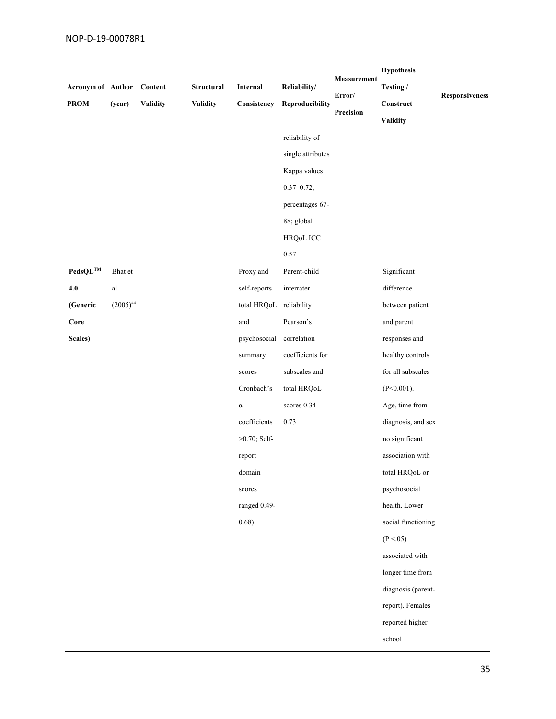| Acronym of Author<br><b>PROM</b> | (year)         | Content<br><b>Validity</b> | Structural<br>Validity | Internal<br>Consistency | Reliability/<br>Reproducibility<br>reliability of<br>single attributes<br>Kappa values<br>$0.37 - 0.72,$<br>percentages 67-<br>88; global | Measurement<br>Error/<br>Precision | <b>Hypothesis</b><br>Testing /<br>Construct<br>Validity | Responsiveness |
|----------------------------------|----------------|----------------------------|------------------------|-------------------------|-------------------------------------------------------------------------------------------------------------------------------------------|------------------------------------|---------------------------------------------------------|----------------|
|                                  |                |                            |                        |                         | HRQoL ICC<br>0.57                                                                                                                         |                                    |                                                         |                |
| $\mathbf{PedsQL}^{\textbf{TM}}$  | Bhat et        |                            |                        | Proxy and               | Parent-child                                                                                                                              |                                    | Significant                                             |                |
| 4.0                              | $\mathbf{al}.$ |                            |                        | self-reports            | interrater                                                                                                                                |                                    | difference                                              |                |
| (Generic                         | $(2005)^{44}$  |                            |                        | total HRQoL reliability |                                                                                                                                           |                                    | between patient                                         |                |
| Core                             |                |                            |                        | and                     | Pearson's                                                                                                                                 |                                    | and parent                                              |                |
| Scales)                          |                |                            |                        | psychosocial            | correlation                                                                                                                               |                                    | responses and                                           |                |
|                                  |                |                            |                        | summary                 | coefficients for                                                                                                                          |                                    | healthy controls                                        |                |
|                                  |                |                            |                        | scores                  | subscales and                                                                                                                             |                                    | for all subscales                                       |                |
|                                  |                |                            |                        | Cronbach's              | total HRQoL                                                                                                                               |                                    | $(P<0.001)$ .                                           |                |
|                                  |                |                            |                        | $\alpha$                | scores 0.34-                                                                                                                              |                                    | Age, time from                                          |                |
|                                  |                |                            |                        | coefficients            | 0.73                                                                                                                                      |                                    | diagnosis, and sex                                      |                |
|                                  |                |                            |                        | $>0.70$ ; Self-         |                                                                                                                                           |                                    | no significant                                          |                |
|                                  |                |                            |                        | report                  |                                                                                                                                           |                                    | association with                                        |                |
|                                  |                |                            |                        | domain                  |                                                                                                                                           |                                    | total HRQoL or                                          |                |
|                                  |                |                            |                        | scores                  |                                                                                                                                           |                                    | psychosocial                                            |                |
|                                  |                |                            |                        | ranged 0.49-            |                                                                                                                                           |                                    | health. Lower                                           |                |
|                                  |                |                            |                        | $0.68$ ).               |                                                                                                                                           |                                    | social functioning                                      |                |
|                                  |                |                            |                        |                         |                                                                                                                                           |                                    | (P < 0.05)                                              |                |
|                                  |                |                            |                        |                         |                                                                                                                                           |                                    | associated with                                         |                |
|                                  |                |                            |                        |                         |                                                                                                                                           |                                    | longer time from                                        |                |
|                                  |                |                            |                        |                         |                                                                                                                                           |                                    | diagnosis (parent-                                      |                |
|                                  |                |                            |                        |                         |                                                                                                                                           |                                    | report). Females                                        |                |
|                                  |                |                            |                        |                         |                                                                                                                                           |                                    | reported higher                                         |                |
|                                  |                |                            |                        |                         |                                                                                                                                           |                                    | school                                                  |                |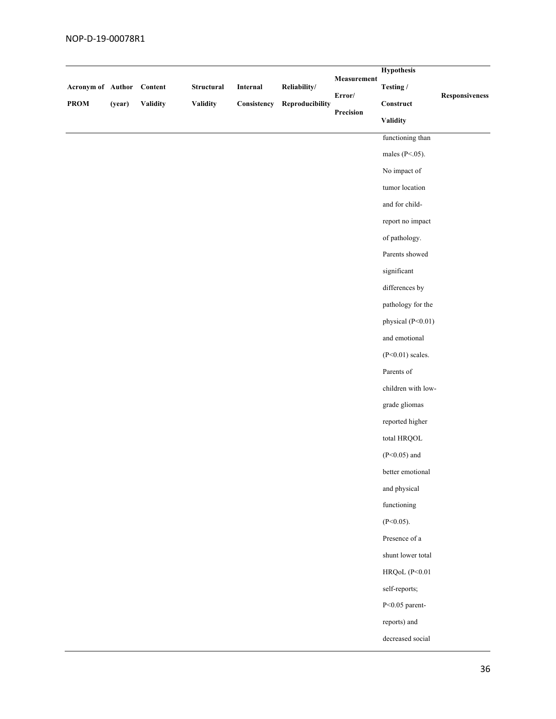| Acronym of Author<br>PROM | (year) | Content<br>Validity | Structural<br><b>Validity</b> | Internal<br>Consistency | Reliability/<br>Reproducibility | Measurement<br>$\mbox{Error}/$<br>Precision | <b>Hypothesis</b><br>Testing /<br>$\label{eq:construct} Construct$<br><b>Validity</b> | <b>Responsiveness</b> |
|---------------------------|--------|---------------------|-------------------------------|-------------------------|---------------------------------|---------------------------------------------|---------------------------------------------------------------------------------------|-----------------------|
|                           |        |                     |                               |                         |                                 |                                             | functioning than                                                                      |                       |
|                           |        |                     |                               |                         |                                 |                                             | males (P<.05).                                                                        |                       |
|                           |        |                     |                               |                         |                                 |                                             | No impact of                                                                          |                       |
|                           |        |                     |                               |                         |                                 |                                             | tumor location                                                                        |                       |
|                           |        |                     |                               |                         |                                 |                                             | and for child-                                                                        |                       |
|                           |        |                     |                               |                         |                                 |                                             | report no impact                                                                      |                       |
|                           |        |                     |                               |                         |                                 |                                             | of pathology.                                                                         |                       |
|                           |        |                     |                               |                         |                                 |                                             | Parents showed                                                                        |                       |
|                           |        |                     |                               |                         |                                 |                                             | significant                                                                           |                       |
|                           |        |                     |                               |                         |                                 |                                             | differences by                                                                        |                       |
|                           |        |                     |                               |                         |                                 |                                             | pathology for the                                                                     |                       |
|                           |        |                     |                               |                         |                                 |                                             | physical (P<0.01)                                                                     |                       |
|                           |        |                     |                               |                         |                                 |                                             | and emotional                                                                         |                       |
|                           |        |                     |                               |                         |                                 |                                             | $(P<0.01)$ scales.                                                                    |                       |
|                           |        |                     |                               |                         |                                 |                                             | Parents of                                                                            |                       |
|                           |        |                     |                               |                         |                                 |                                             | children with low-                                                                    |                       |
|                           |        |                     |                               |                         |                                 |                                             | grade gliomas                                                                         |                       |
|                           |        |                     |                               |                         |                                 |                                             | reported higher                                                                       |                       |
|                           |        |                     |                               |                         |                                 |                                             | total HRQOL                                                                           |                       |
|                           |        |                     |                               |                         |                                 |                                             | $(P<0.05)$ and                                                                        |                       |
|                           |        |                     |                               |                         |                                 |                                             | better emotional                                                                      |                       |
|                           |        |                     |                               |                         |                                 |                                             | and physical                                                                          |                       |
|                           |        |                     |                               |                         |                                 |                                             | functioning                                                                           |                       |
|                           |        |                     |                               |                         |                                 |                                             | $(P<0.05)$ .                                                                          |                       |
|                           |        |                     |                               |                         |                                 |                                             | Presence of a                                                                         |                       |
|                           |        |                     |                               |                         |                                 |                                             | shunt lower total                                                                     |                       |
|                           |        |                     |                               |                         |                                 |                                             | HRQoL (P<0.01                                                                         |                       |
|                           |        |                     |                               |                         |                                 |                                             | self-reports;                                                                         |                       |
|                           |        |                     |                               |                         |                                 |                                             | $P<0.05$ parent-                                                                      |                       |
|                           |        |                     |                               |                         |                                 |                                             | reports) and                                                                          |                       |
|                           |        |                     |                               |                         |                                 |                                             | decreased social                                                                      |                       |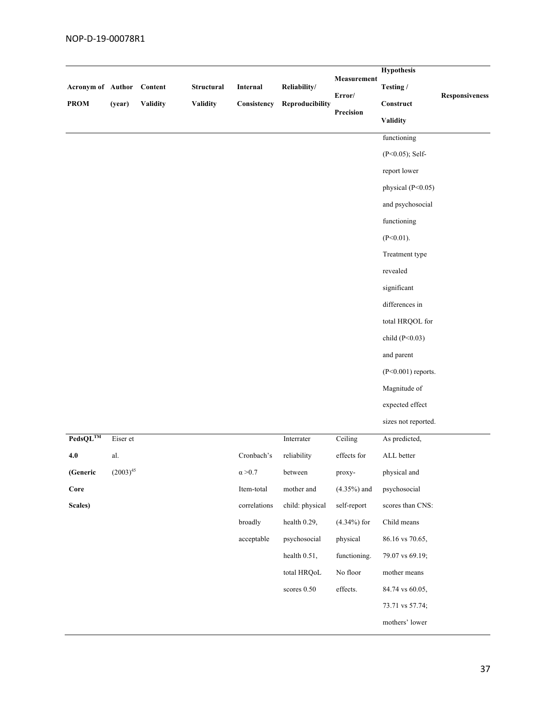| Acronym of Author<br><b>PROM</b> | (year)        | Content<br><b>Validity</b> | <b>Structural</b><br><b>Validity</b> | Internal<br>Consistency | Reliability/<br>Reproducibility | Measurement<br>Error/<br>Precision | <b>Hypothesis</b><br>Testing /<br>$Construct$<br><b>Validity</b><br>functioning<br>$(P<0.05)$ ; Self-<br>report lower<br>physical (P<0.05)<br>and psychosocial<br>functioning<br>$(P<0.01)$ .<br>Treatment type<br>revealed<br>significant<br>differences in<br>total HRQOL for<br>child $(P<0.03)$<br>and parent<br>$(P<0.001)$ reports.<br>Magnitude of | <b>Responsiveness</b> |
|----------------------------------|---------------|----------------------------|--------------------------------------|-------------------------|---------------------------------|------------------------------------|-----------------------------------------------------------------------------------------------------------------------------------------------------------------------------------------------------------------------------------------------------------------------------------------------------------------------------------------------------------|-----------------------|
|                                  |               |                            |                                      |                         |                                 |                                    | expected effect<br>sizes not reported.                                                                                                                                                                                                                                                                                                                    |                       |
| $\mathbf{PedsQL}^{\mathrm{TM}}$  | Eiser et      |                            |                                      |                         | Interrater                      | Ceiling                            | As predicted,                                                                                                                                                                                                                                                                                                                                             |                       |
| 4.0                              | al.           |                            |                                      | Cronbach's              | reliability                     | effects for                        | ALL better                                                                                                                                                                                                                                                                                                                                                |                       |
| (Generic                         | $(2003)^{45}$ |                            |                                      | $\alpha$ >0.7           | between                         | proxy-                             | physical and                                                                                                                                                                                                                                                                                                                                              |                       |
| Core                             |               |                            |                                      | Item-total              | mother and                      | $(4.35\%)$ and                     | psychosocial                                                                                                                                                                                                                                                                                                                                              |                       |
| Scales)                          |               |                            |                                      | correlations            | child: physical                 | self-report                        | scores than CNS:                                                                                                                                                                                                                                                                                                                                          |                       |
|                                  |               |                            |                                      | broadly                 | health 0.29,                    | $(4.34\%)$ for                     | Child means                                                                                                                                                                                                                                                                                                                                               |                       |
|                                  |               |                            |                                      | acceptable              | psychosocial                    | physical                           | 86.16 vs 70.65,                                                                                                                                                                                                                                                                                                                                           |                       |
|                                  |               |                            |                                      |                         | health 0.51,                    | functioning.                       | 79.07 vs 69.19;                                                                                                                                                                                                                                                                                                                                           |                       |
|                                  |               |                            |                                      |                         | total HRQoL                     | No floor                           | mother means                                                                                                                                                                                                                                                                                                                                              |                       |
|                                  |               |                            |                                      |                         | scores 0.50                     | effects.                           | 84.74 vs 60.05,                                                                                                                                                                                                                                                                                                                                           |                       |
|                                  |               |                            |                                      |                         |                                 |                                    | 73.71 vs 57.74;                                                                                                                                                                                                                                                                                                                                           |                       |
|                                  |               |                            |                                      |                         |                                 |                                    | mothers' lower                                                                                                                                                                                                                                                                                                                                            |                       |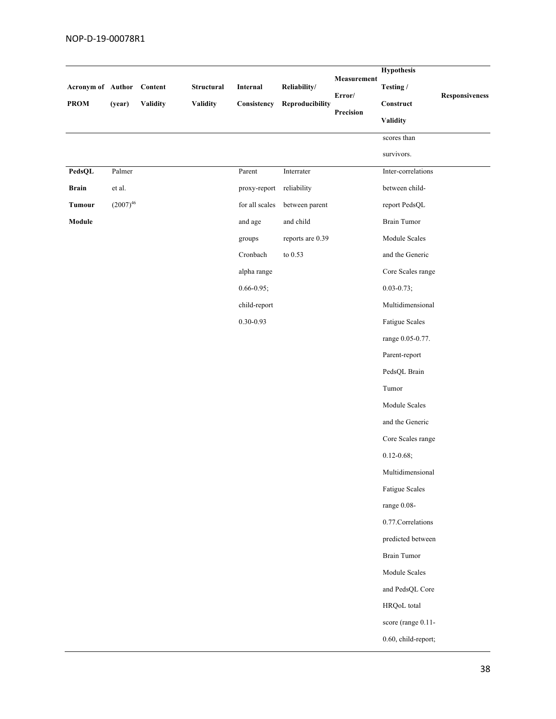|                           |               |          |            |                |                                      |             | <b>Hypothesis</b>     |                |
|---------------------------|---------------|----------|------------|----------------|--------------------------------------|-------------|-----------------------|----------------|
| Acronym of Author Content |               |          | Structural | Internal       | Reliability/                         | Measurement | Testing /             |                |
| <b>PROM</b>               | (year)        | Validity | Validity   | Consistency    | Reproducibility                      | Error/      | $\bf Construct$       | Responsiveness |
|                           |               |          |            |                |                                      | Precision   | <b>Validity</b>       |                |
|                           |               |          |            |                |                                      |             | scores than           |                |
|                           |               |          |            |                |                                      |             | survivors.            |                |
| PedsQL                    | Palmer        |          |            | Parent         | $\label{eq:inter} \text{Interrater}$ |             | Inter-correlations    |                |
| <b>Brain</b>              | et al.        |          |            | proxy-report   | reliability                          |             | between child-        |                |
| <b>Tumour</b>             | $(2007)^{46}$ |          |            | for all scales | between parent                       |             | report PedsQL         |                |
| Module                    |               |          |            | and age        | and child                            |             | <b>Brain Tumor</b>    |                |
|                           |               |          |            | groups         | reports are 0.39                     |             | Module Scales         |                |
|                           |               |          |            | Cronbach       | to $0.53\,$                          |             | and the Generic       |                |
|                           |               |          |            | alpha range    |                                      |             | Core Scales range     |                |
|                           |               |          |            | $0.66 - 0.95;$ |                                      |             | $0.03 - 0.73;$        |                |
|                           |               |          |            | child-report   |                                      |             | Multidimensional      |                |
|                           |               |          |            | $0.30 - 0.93$  |                                      |             | Fatigue Scales        |                |
|                           |               |          |            |                |                                      |             | range 0.05-0.77.      |                |
|                           |               |          |            |                |                                      |             | Parent-report         |                |
|                           |               |          |            |                |                                      |             | PedsQL Brain          |                |
|                           |               |          |            |                |                                      |             | Tumor                 |                |
|                           |               |          |            |                |                                      |             | Module Scales         |                |
|                           |               |          |            |                |                                      |             | and the Generic       |                |
|                           |               |          |            |                |                                      |             | Core Scales range     |                |
|                           |               |          |            |                |                                      |             | $0.12 - 0.68;$        |                |
|                           |               |          |            |                |                                      |             | Multidimensional      |                |
|                           |               |          |            |                |                                      |             | <b>Fatigue Scales</b> |                |
|                           |               |          |            |                |                                      |             | range 0.08-           |                |
|                           |               |          |            |                |                                      |             | 0.77. Correlations    |                |
|                           |               |          |            |                |                                      |             | predicted between     |                |
|                           |               |          |            |                |                                      |             | <b>Brain Tumor</b>    |                |
|                           |               |          |            |                |                                      |             | Module Scales         |                |
|                           |               |          |            |                |                                      |             | and PedsQL Core       |                |
|                           |               |          |            |                |                                      |             | HRQoL total           |                |
|                           |               |          |            |                |                                      |             | score (range 0.11-    |                |
|                           |               |          |            |                |                                      |             | 0.60, child-report;   |                |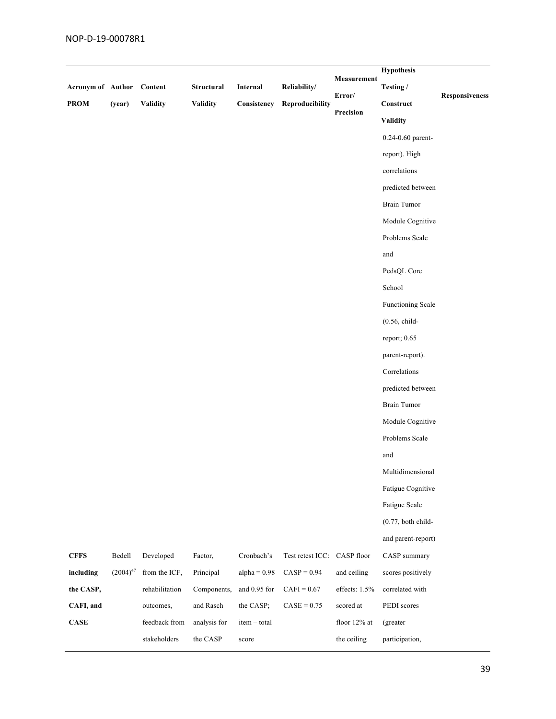| <b>Acronym of Author</b><br><b>PROM</b> | (year)        | Content<br><b>Validity</b> | Structural<br><b>Validity</b> | Internal<br>Consistency | Reliability/<br>Reproducibility | Measurement<br>Error/<br>Precision | <b>Hypothesis</b><br>Testing /<br>Construct<br><b>Validity</b> | <b>Responsiveness</b> |
|-----------------------------------------|---------------|----------------------------|-------------------------------|-------------------------|---------------------------------|------------------------------------|----------------------------------------------------------------|-----------------------|
|                                         |               |                            |                               |                         |                                 |                                    | 0.24-0.60 parent-                                              |                       |
|                                         |               |                            |                               |                         |                                 |                                    | report). High                                                  |                       |
|                                         |               |                            |                               |                         |                                 |                                    | correlations                                                   |                       |
|                                         |               |                            |                               |                         |                                 |                                    | predicted between                                              |                       |
|                                         |               |                            |                               |                         |                                 |                                    | <b>Brain Tumor</b>                                             |                       |
|                                         |               |                            |                               |                         |                                 |                                    | Module Cognitive                                               |                       |
|                                         |               |                            |                               |                         |                                 |                                    | Problems Scale                                                 |                       |
|                                         |               |                            |                               |                         |                                 |                                    | and                                                            |                       |
|                                         |               |                            |                               |                         |                                 |                                    | PedsQL Core                                                    |                       |
|                                         |               |                            |                               |                         |                                 |                                    | School                                                         |                       |
|                                         |               |                            |                               |                         |                                 |                                    | Functioning Scale                                              |                       |
|                                         |               |                            |                               |                         |                                 |                                    | $(0.56, child-$                                                |                       |
|                                         |               |                            |                               |                         |                                 |                                    | report; 0.65                                                   |                       |
|                                         |               |                            |                               |                         |                                 |                                    | parent-report).                                                |                       |
|                                         |               |                            |                               |                         |                                 |                                    | Correlations                                                   |                       |
|                                         |               |                            |                               |                         |                                 |                                    | predicted between                                              |                       |
|                                         |               |                            |                               |                         |                                 |                                    | <b>Brain Tumor</b>                                             |                       |
|                                         |               |                            |                               |                         |                                 |                                    | Module Cognitive                                               |                       |
|                                         |               |                            |                               |                         |                                 |                                    | Problems Scale                                                 |                       |
|                                         |               |                            |                               |                         |                                 |                                    | and                                                            |                       |
|                                         |               |                            |                               |                         |                                 |                                    | Multidimensional                                               |                       |
|                                         |               |                            |                               |                         |                                 |                                    | Fatigue Cognitive                                              |                       |
|                                         |               |                            |                               |                         |                                 |                                    | Fatigue Scale                                                  |                       |
|                                         |               |                            |                               |                         |                                 |                                    | $(0.77,$ both child-                                           |                       |
|                                         |               |                            |                               |                         |                                 |                                    | and parent-report)                                             |                       |
| <b>CFFS</b>                             | Bedell        | Developed                  | Factor,                       | Cronbach's              | Test retest ICC: CASP floor     |                                    | CASP summary                                                   |                       |
| including                               | $(2004)^{47}$ | from the ICF,              | Principal                     | alpha = $0.98$          | $CASP = 0.94$                   | and ceiling                        | scores positively                                              |                       |
| the CASP,                               |               | rehabilitation             | Components,                   | and 0.95 for            | $CAFI = 0.67$                   | effects: 1.5%                      | correlated with                                                |                       |
| CAFI, and                               |               | outcomes,                  | and Rasch                     | the CASP;               | $CASE = 0.75$                   | scored at                          | PEDI scores                                                    |                       |
| $\mathbf{CASE}$                         |               | feedback from              | analysis for                  | item - total            |                                 | floor 12% at                       | (greater                                                       |                       |
|                                         |               | stakeholders               | the CASP                      | score                   |                                 | the ceiling                        | participation,                                                 |                       |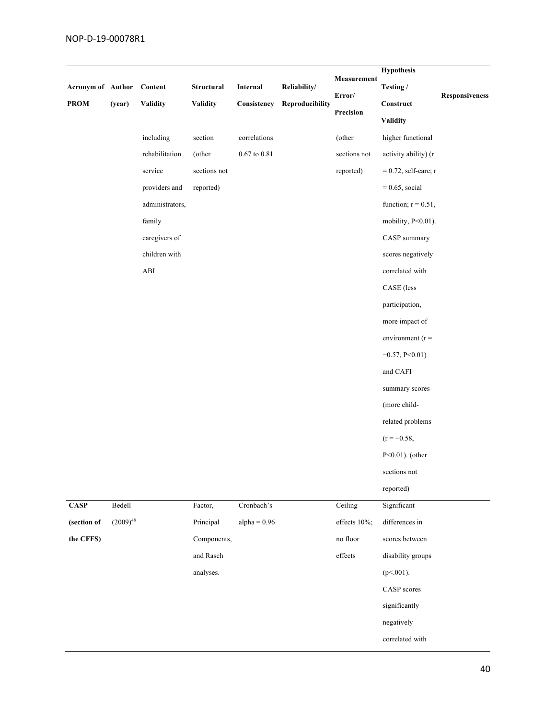| Acronym of Author Content<br><b>PROM</b> | (year)        | <b>Validity</b>                  | Structural<br><b>Validity</b> | Internal<br>Consistency | Reliability/<br>Reproducibility | Measurement<br>Error/<br>Precision | <b>Hypothesis</b><br>Testing /<br>Construct<br><b>Validity</b> | Responsiveness |
|------------------------------------------|---------------|----------------------------------|-------------------------------|-------------------------|---------------------------------|------------------------------------|----------------------------------------------------------------|----------------|
|                                          |               | including                        | section                       | correlations            |                                 | (other                             | higher functional                                              |                |
|                                          |               | rehabilitation                   | (other                        | $0.67$ to $0.81\,$      |                                 | sections not                       | activity ability) (r                                           |                |
|                                          |               | service                          | sections not                  |                         |                                 | reported)                          | $= 0.72$ , self-care; r                                        |                |
|                                          |               | providers and                    | reported)                     |                         |                                 |                                    | $= 0.65$ , social                                              |                |
|                                          |               | administrators,                  |                               |                         |                                 |                                    | function; $r = 0.51$ ,                                         |                |
|                                          |               | family                           |                               |                         |                                 |                                    | mobility, P<0.01).                                             |                |
|                                          |               | caregivers of                    |                               |                         |                                 |                                    | CASP summary                                                   |                |
|                                          |               | children with                    |                               |                         |                                 |                                    | scores negatively                                              |                |
|                                          |               | $\mathbf{A}\mathbf{B}\mathbf{I}$ |                               |                         |                                 |                                    | correlated with                                                |                |
|                                          |               |                                  |                               |                         |                                 |                                    | CASE (less                                                     |                |
|                                          |               |                                  |                               |                         |                                 |                                    | participation,                                                 |                |
|                                          |               |                                  |                               |                         |                                 |                                    | more impact of                                                 |                |
|                                          |               |                                  |                               |                         |                                 |                                    | environment ( $r =$                                            |                |
|                                          |               |                                  |                               |                         |                                 |                                    | $-0.57, P<0.01$ )                                              |                |
|                                          |               |                                  |                               |                         |                                 |                                    | and CAFI                                                       |                |
|                                          |               |                                  |                               |                         |                                 |                                    | summary scores                                                 |                |
|                                          |               |                                  |                               |                         |                                 |                                    | (more child-                                                   |                |
|                                          |               |                                  |                               |                         |                                 |                                    | related problems                                               |                |
|                                          |               |                                  |                               |                         |                                 |                                    | $(r = -0.58,$                                                  |                |
|                                          |               |                                  |                               |                         |                                 |                                    | $P<0.01$ ). (other                                             |                |
|                                          |               |                                  |                               |                         |                                 |                                    | sections not                                                   |                |
|                                          |               |                                  |                               |                         |                                 |                                    | reported)                                                      |                |
| <b>CASP</b>                              | Bedell        |                                  | Factor,                       | Cronbach's              |                                 | Ceiling                            | Significant                                                    |                |
| (section of                              | $(2009)^{48}$ |                                  | Principal                     | $alpha = 0.96$          |                                 | effects 10%;                       | differences in                                                 |                |
| the CFFS)                                |               |                                  | Components,                   |                         |                                 | no floor                           | scores between                                                 |                |
|                                          |               |                                  | and Rasch                     |                         |                                 | effects                            | disability groups                                              |                |
|                                          |               |                                  | analyses.                     |                         |                                 |                                    | $(p<.001)$ .                                                   |                |
|                                          |               |                                  |                               |                         |                                 |                                    | CASP scores                                                    |                |
|                                          |               |                                  |                               |                         |                                 |                                    | significantly                                                  |                |
|                                          |               |                                  |                               |                         |                                 |                                    | negatively                                                     |                |
|                                          |               |                                  |                               |                         |                                 |                                    | correlated with                                                |                |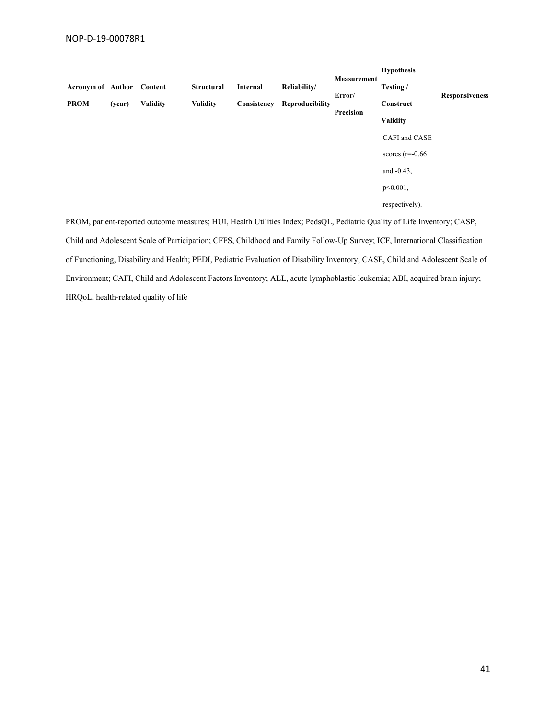| <b>Acronym of Author</b><br><b>PROM</b> | (year) | Content<br><b>Validity</b> | <b>Structural</b><br><b>Validity</b> | Internal<br>Consistency | Reliability/<br>Reproducibility | <b>Measurement</b><br>Error/<br>Precision | <b>Hypothesis</b><br>Testing /<br>Construct<br><b>Validity</b> | <b>Responsiveness</b> |
|-----------------------------------------|--------|----------------------------|--------------------------------------|-------------------------|---------------------------------|-------------------------------------------|----------------------------------------------------------------|-----------------------|
|                                         |        |                            |                                      |                         |                                 |                                           | CAFI and CASE                                                  |                       |
|                                         |        |                            |                                      |                         |                                 |                                           | scores $(r=0.66)$                                              |                       |
|                                         |        |                            |                                      |                         |                                 |                                           | and $-0.43$ ,                                                  |                       |
|                                         |        |                            |                                      |                         |                                 |                                           | $p<0.001$ ,                                                    |                       |
|                                         |        |                            |                                      |                         |                                 |                                           | respectively).                                                 |                       |

PROM, patient-reported outcome measures; HUI, Health Utilities Index; PedsQL, Pediatric Quality of Life Inventory; CASP, Child and Adolescent Scale of Participation; CFFS, Childhood and Family Follow-Up Survey; ICF, International Classification of Functioning, Disability and Health; PEDI, Pediatric Evaluation of Disability Inventory; CASE, Child and Adolescent Scale of Environment; CAFI, Child and Adolescent Factors Inventory; ALL, acute lymphoblastic leukemia; ABI, acquired brain injury; HRQoL, health-related quality of life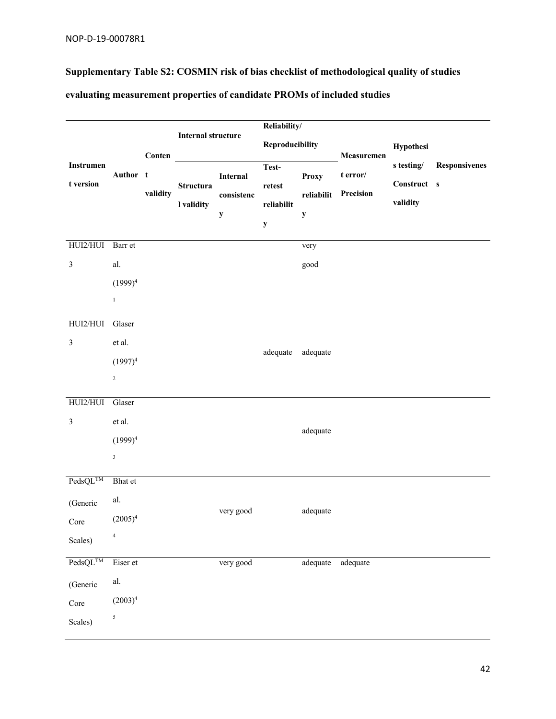# **Supplementary Table S2: COSMIN risk of bias checklist of methodological quality of studies**

|                                        |                      |          | <b>Internal structure</b>      |                                       |                                              | Reliability/                              |                                            |                                       |                      |
|----------------------------------------|----------------------|----------|--------------------------------|---------------------------------------|----------------------------------------------|-------------------------------------------|--------------------------------------------|---------------------------------------|----------------------|
|                                        |                      | Conten   |                                |                                       | <b>Reproducibility</b>                       |                                           |                                            | Hypothesi                             |                      |
| Instrumen<br>t version                 | Author t             | validity | <b>Structura</b><br>I validity | Internal<br>consistenc<br>$\mathbf y$ | Test-<br>retest<br>reliabilit<br>$\mathbf y$ | <b>Proxy</b><br>reliabilit<br>$\mathbf y$ | Measuremen<br>$t$ error/ $\,$<br>Precision | s testing/<br>Construct s<br>validity | <b>Responsivenes</b> |
| HUI2/HUI                               | Barr et              |          |                                |                                       |                                              | very                                      |                                            |                                       |                      |
| $\mathfrak{Z}$                         | al.                  |          |                                |                                       |                                              | good                                      |                                            |                                       |                      |
|                                        | $(1999)^4$           |          |                                |                                       |                                              |                                           |                                            |                                       |                      |
|                                        | $1\,$                |          |                                |                                       |                                              |                                           |                                            |                                       |                      |
| HUI2/HUI                               | Glaser               |          |                                |                                       |                                              |                                           |                                            |                                       |                      |
| $\mathfrak{Z}$                         | et al.               |          |                                |                                       | adequate                                     | adequate                                  |                                            |                                       |                      |
|                                        | $(1997)^4$           |          |                                |                                       |                                              |                                           |                                            |                                       |                      |
|                                        | $\sqrt{2}$           |          |                                |                                       |                                              |                                           |                                            |                                       |                      |
| HUI2/HUI                               | Glaser               |          |                                |                                       |                                              |                                           |                                            |                                       |                      |
| $\mathfrak{Z}$                         | et al.               |          |                                |                                       |                                              | adequate                                  |                                            |                                       |                      |
|                                        | $(1999)^4$           |          |                                |                                       |                                              |                                           |                                            |                                       |                      |
|                                        | $\mathbf 3$          |          |                                |                                       |                                              |                                           |                                            |                                       |                      |
| $\overline{\text{PedsQL}^{\text{TM}}}$ | Bhat et              |          |                                |                                       |                                              |                                           |                                            |                                       |                      |
| (Generic                               | al.                  |          |                                | very good                             |                                              | adequate                                  |                                            |                                       |                      |
| Core                                   | $(2005)^4$           |          |                                |                                       |                                              |                                           |                                            |                                       |                      |
| Scales)                                | $\sqrt{4}$           |          |                                |                                       |                                              |                                           |                                            |                                       |                      |
| $\text{PedsQL}^{\text{TM}}$            | Eiser et             |          |                                | very good                             |                                              | adequate                                  | adequate                                   |                                       |                      |
| (Generic                               | $\operatorname{al.}$ |          |                                |                                       |                                              |                                           |                                            |                                       |                      |
| Core                                   | $(2003)^4$           |          |                                |                                       |                                              |                                           |                                            |                                       |                      |
| Scales)                                | $\sqrt{5}$           |          |                                |                                       |                                              |                                           |                                            |                                       |                      |

### **evaluating measurement properties of candidate PROMs of included studies**